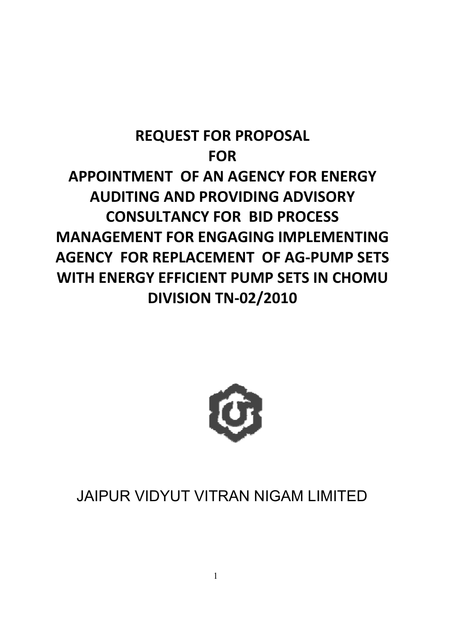# REQUEST FOR PROPOSAL FOR APPOINTMENT OF AN AGENCY FOR ENERGY AUDITING AND PROVIDING ADVISORY CONSULTANCY FOR BID PROCESS MANAGEMENT FOR ENGAGING IMPLEMENTING AGENCY FOR REPLACEMENT OF AG-PUMP SETS WITH ENERGY EFFICIENT PUMP SETS IN CHOMU DIVISION TN-02/2010



# JAIPUR VIDYUT VITRAN NIGAM LIMITED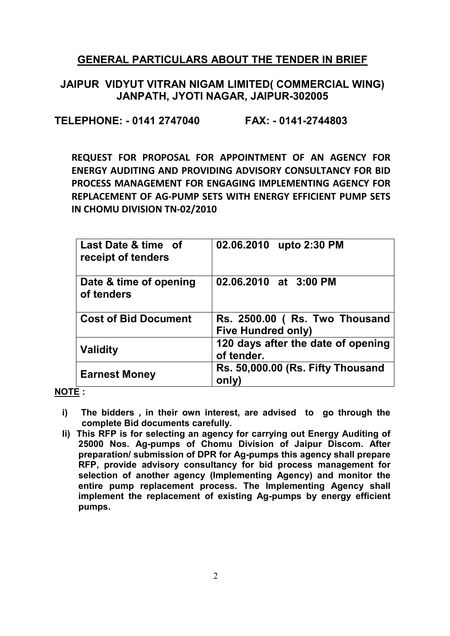# GENERAL PARTICULARS ABOUT THE TENDER IN BRIEF

# JAIPUR VIDYUT VITRAN NIGAM LIMITED( COMMERCIAL WING) JANPATH, JYOTI NAGAR, JAIPUR-302005

TELEPHONE: - 0141 2747040 FAX: - 0141-2744803

REQUEST FOR PROPOSAL FOR APPOINTMENT OF AN AGENCY FOR ENERGY AUDITING AND PROVIDING ADVISORY CONSULTANCY FOR BID PROCESS MANAGEMENT FOR ENGAGING IMPLEMENTING AGENCY FOR REPLACEMENT OF AG-PUMP SETS WITH ENERGY EFFICIENT PUMP SETS IN CHOMU DIVISION TN-02/2010

| Last Date & time of<br>receipt of tenders | 02.06.2010 upto 2:30 PM                                    |
|-------------------------------------------|------------------------------------------------------------|
| Date & time of opening<br>of tenders      | 02.06.2010 at 3:00 PM                                      |
| <b>Cost of Bid Document</b>               | Rs. 2500.00 (Rs. Two Thousand<br><b>Five Hundred only)</b> |
| Validity                                  | 120 days after the date of opening<br>of tender.           |
| <b>Earnest Money</b>                      | Rs. 50,000.00 (Rs. Fifty Thousand<br>only)                 |

# NOTE :

- i) The bidders, in their own interest, are advised to go through the complete Bid documents carefully.
- Ii) This RFP is for selecting an agency for carrying out Energy Auditing of 25000 Nos. Ag-pumps of Chomu Division of Jaipur Discom. After preparation/ submission of DPR for Ag-pumps this agency shall prepare RFP, provide advisory consultancy for bid process management for selection of another agency (Implementing Agency) and monitor the entire pump replacement process. The Implementing Agency shall implement the replacement of existing Ag-pumps by energy efficient pumps.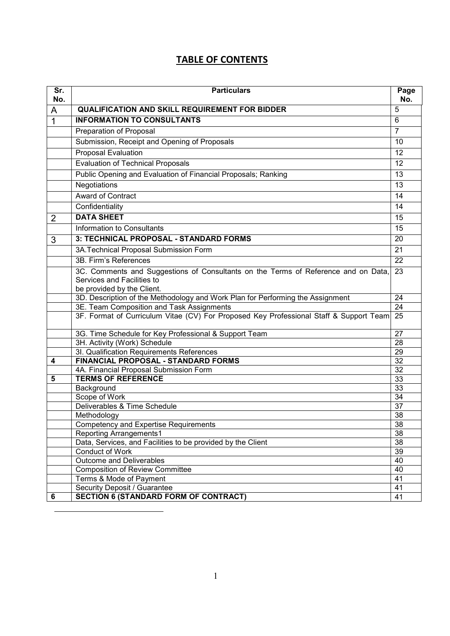# TABLE OF CONTENTS

| Sr.<br>No.  | <b>Particulars</b>                                                                     | Page<br>No.     |
|-------------|----------------------------------------------------------------------------------------|-----------------|
| A           | <b>QUALIFICATION AND SKILL REQUIREMENT FOR BIDDER</b>                                  | 5               |
| $\mathbf 1$ | <b>INFORMATION TO CONSULTANTS</b>                                                      | 6               |
|             | Preparation of Proposal                                                                | $\overline{7}$  |
|             | Submission, Receipt and Opening of Proposals                                           | 10              |
|             | <b>Proposal Evaluation</b>                                                             | 12              |
|             |                                                                                        | 12              |
|             | <b>Evaluation of Technical Proposals</b>                                               |                 |
|             | Public Opening and Evaluation of Financial Proposals; Ranking                          | 13              |
|             | Negotiations                                                                           | 13              |
|             | <b>Award of Contract</b>                                                               | 14              |
|             | Confidentiality                                                                        | 14              |
| 2           | <b>DATA SHEET</b>                                                                      | 15              |
|             | Information to Consultants                                                             | 15              |
| 3           | 3: TECHNICAL PROPOSAL - STANDARD FORMS                                                 | 20              |
|             | 3A. Technical Proposal Submission Form                                                 | 21              |
|             | 3B. Firm's References                                                                  | 22              |
|             | 3C. Comments and Suggestions of Consultants on the Terms of Reference and on Data,     | 23              |
|             | Services and Facilities to                                                             |                 |
|             | be provided by the Client.                                                             |                 |
|             | 3D. Description of the Methodology and Work Plan for Performing the Assignment         | 24              |
|             | 3E. Team Composition and Task Assignments                                              | 24              |
|             | 3F. Format of Curriculum Vitae (CV) For Proposed Key Professional Staff & Support Team | $\overline{25}$ |
|             | 3G. Time Schedule for Key Professional & Support Team                                  | 27              |
|             | 3H. Activity (Work) Schedule                                                           | 28              |
|             | 3I. Qualification Requirements References                                              | 29              |
| 4           | <b>FINANCIAL PROPOSAL - STANDARD FORMS</b>                                             | 32              |
|             | 4A. Financial Proposal Submission Form                                                 | 32              |
| 5           | <b>TERMS OF REFERENCE</b>                                                              | 33              |
|             | Background                                                                             | 33<br>34        |
|             | Scope of Work<br>Deliverables & Time Schedule                                          | 37              |
|             | Methodology                                                                            | 38              |
|             | <b>Competency and Expertise Requirements</b>                                           | 38              |
|             | <b>Reporting Arrangements1</b>                                                         | 38              |
|             | Data, Services, and Facilities to be provided by the Client                            | 38              |
|             | Conduct of Work                                                                        | 39              |
|             | Outcome and Deliverables                                                               | 40              |
|             | <b>Composition of Review Committee</b>                                                 | 40              |
|             | Terms & Mode of Payment                                                                | 41              |
|             | Security Deposit / Guarantee                                                           | 41              |
| 6           | <b>SECTION 6 (STANDARD FORM OF CONTRACT)</b>                                           | 41              |

 $\overline{a}$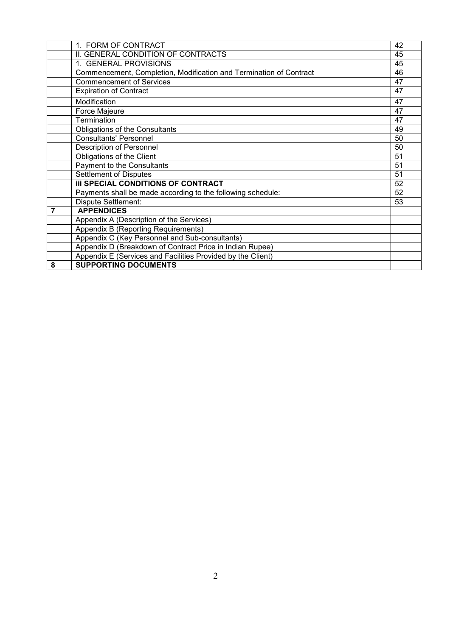|   | 1. FORM OF CONTRACT                                                | 42 |
|---|--------------------------------------------------------------------|----|
|   | II. GENERAL CONDITION OF CONTRACTS                                 | 45 |
|   | 1. GENERAL PROVISIONS                                              | 45 |
|   | Commencement, Completion, Modification and Termination of Contract | 46 |
|   | <b>Commencement of Services</b>                                    | 47 |
|   | <b>Expiration of Contract</b>                                      | 47 |
|   | Modification                                                       | 47 |
|   | Force Majeure                                                      | 47 |
|   | Termination                                                        | 47 |
|   | Obligations of the Consultants                                     | 49 |
|   | <b>Consultants' Personnel</b>                                      | 50 |
|   | <b>Description of Personnel</b>                                    | 50 |
|   | Obligations of the Client                                          | 51 |
|   | Payment to the Consultants                                         | 51 |
|   | Settlement of Disputes                                             | 51 |
|   | <b>iii SPECIAL CONDITIONS OF CONTRACT</b>                          | 52 |
|   | Payments shall be made according to the following schedule:        | 52 |
|   | <b>Dispute Settlement:</b>                                         | 53 |
| 7 | <b>APPENDICES</b>                                                  |    |
|   | Appendix A (Description of the Services)                           |    |
|   | Appendix B (Reporting Requirements)                                |    |
|   | Appendix C (Key Personnel and Sub-consultants)                     |    |
|   | Appendix D (Breakdown of Contract Price in Indian Rupee)           |    |
|   | Appendix E (Services and Facilities Provided by the Client)        |    |
| 8 | <b>SUPPORTING DOCUMENTS</b>                                        |    |
|   |                                                                    |    |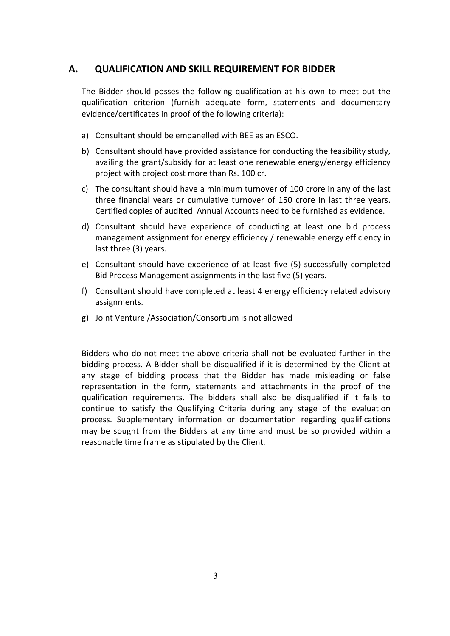# A. QUALIFICATION AND SKILL REQUIREMENT FOR BIDDER

The Bidder should posses the following qualification at his own to meet out the qualification criterion (furnish adequate form, statements and documentary evidence/certificates in proof of the following criteria):

- a) Consultant should be empanelled with BEE as an ESCO.
- b) Consultant should have provided assistance for conducting the feasibility study, availing the grant/subsidy for at least one renewable energy/energy efficiency project with project cost more than Rs. 100 cr.
- c) The consultant should have a minimum turnover of 100 crore in any of the last three financial years or cumulative turnover of 150 crore in last three years. Certified copies of audited Annual Accounts need to be furnished as evidence.
- d) Consultant should have experience of conducting at least one bid process management assignment for energy efficiency / renewable energy efficiency in last three (3) years.
- e) Consultant should have experience of at least five (5) successfully completed Bid Process Management assignments in the last five (5) years.
- f) Consultant should have completed at least 4 energy efficiency related advisory assignments.
- g) Joint Venture /Association/Consortium is not allowed

Bidders who do not meet the above criteria shall not be evaluated further in the bidding process. A Bidder shall be disqualified if it is determined by the Client at any stage of bidding process that the Bidder has made misleading or false representation in the form, statements and attachments in the proof of the qualification requirements. The bidders shall also be disqualified if it fails to continue to satisfy the Qualifying Criteria during any stage of the evaluation process. Supplementary information or documentation regarding qualifications may be sought from the Bidders at any time and must be so provided within a reasonable time frame as stipulated by the Client.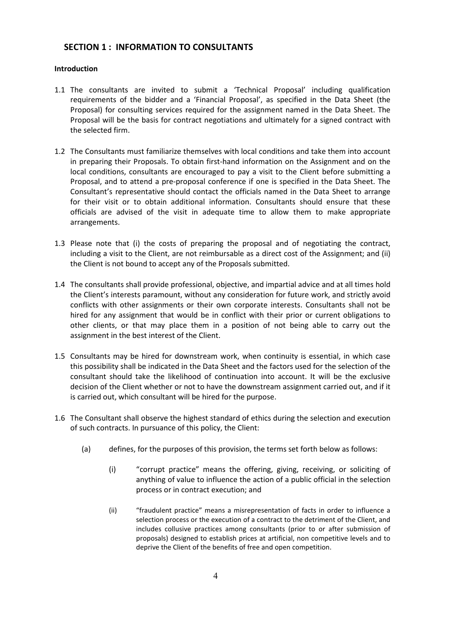#### SECTION 1 : INFORMATION TO CONSULTANTS

#### Introduction

- 1.1 The consultants are invited to submit a 'Technical Proposal' including qualification requirements of the bidder and a 'Financial Proposal', as specified in the Data Sheet (the Proposal) for consulting services required for the assignment named in the Data Sheet. The Proposal will be the basis for contract negotiations and ultimately for a signed contract with the selected firm.
- 1.2 The Consultants must familiarize themselves with local conditions and take them into account in preparing their Proposals. To obtain first-hand information on the Assignment and on the local conditions, consultants are encouraged to pay a visit to the Client before submitting a Proposal, and to attend a pre-proposal conference if one is specified in the Data Sheet. The Consultant's representative should contact the officials named in the Data Sheet to arrange for their visit or to obtain additional information. Consultants should ensure that these officials are advised of the visit in adequate time to allow them to make appropriate arrangements.
- 1.3 Please note that (i) the costs of preparing the proposal and of negotiating the contract, including a visit to the Client, are not reimbursable as a direct cost of the Assignment; and (ii) the Client is not bound to accept any of the Proposals submitted.
- 1.4 The consultants shall provide professional, objective, and impartial advice and at all times hold the Client's interests paramount, without any consideration for future work, and strictly avoid conflicts with other assignments or their own corporate interests. Consultants shall not be hired for any assignment that would be in conflict with their prior or current obligations to other clients, or that may place them in a position of not being able to carry out the assignment in the best interest of the Client.
- 1.5 Consultants may be hired for downstream work, when continuity is essential, in which case this possibility shall be indicated in the Data Sheet and the factors used for the selection of the consultant should take the likelihood of continuation into account. It will be the exclusive decision of the Client whether or not to have the downstream assignment carried out, and if it is carried out, which consultant will be hired for the purpose.
- 1.6 The Consultant shall observe the highest standard of ethics during the selection and execution of such contracts. In pursuance of this policy, the Client:
	- (a) defines, for the purposes of this provision, the terms set forth below as follows:
		- (i) "corrupt practice" means the offering, giving, receiving, or soliciting of anything of value to influence the action of a public official in the selection process or in contract execution; and
		- (ii) "fraudulent practice" means a misrepresentation of facts in order to influence a selection process or the execution of a contract to the detriment of the Client, and includes collusive practices among consultants (prior to or after submission of proposals) designed to establish prices at artificial, non competitive levels and to deprive the Client of the benefits of free and open competition.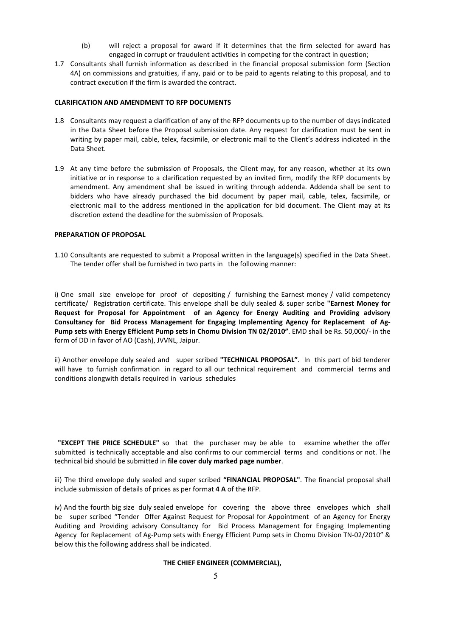- (b) will reject a proposal for award if it determines that the firm selected for award has engaged in corrupt or fraudulent activities in competing for the contract in question;
- 1.7 Consultants shall furnish information as described in the financial proposal submission form (Section 4A) on commissions and gratuities, if any, paid or to be paid to agents relating to this proposal, and to contract execution if the firm is awarded the contract.

#### CLARIFICATION AND AMENDMENT TO RFP DOCUMENTS

- 1.8 Consultants may request a clarification of any of the RFP documents up to the number of days indicated in the Data Sheet before the Proposal submission date. Any request for clarification must be sent in writing by paper mail, cable, telex, facsimile, or electronic mail to the Client's address indicated in the Data Sheet.
- 1.9 At any time before the submission of Proposals, the Client may, for any reason, whether at its own initiative or in response to a clarification requested by an invited firm, modify the RFP documents by amendment. Any amendment shall be issued in writing through addenda. Addenda shall be sent to bidders who have already purchased the bid document by paper mail, cable, telex, facsimile, or electronic mail to the address mentioned in the application for bid document. The Client may at its discretion extend the deadline for the submission of Proposals.

#### PREPARATION OF PROPOSAL

1.10 Consultants are requested to submit a Proposal written in the language(s) specified in the Data Sheet. The tender offer shall be furnished in two parts in the following manner:

i) One small size envelope for proof of depositing / furnishing the Earnest money / valid competency certificate/ Registration certificate. This envelope shall be duly sealed & super scribe "Earnest Money for Request for Proposal for Appointment of an Agency for Energy Auditing and Providing advisory Consultancy for Bid Process Management for Engaging Implementing Agency for Replacement of Ag-Pump sets with Energy Efficient Pump sets in Chomu Division TN 02/2010". EMD shall be Rs. 50,000/- in the form of DD in favor of AO (Cash), JVVNL, Jaipur.

ii) Another envelope duly sealed and super scribed "TECHNICAL PROPOSAL". In this part of bid tenderer will have to furnish confirmation in regard to all our technical requirement and commercial terms and conditions alongwith details required in various schedules

 "EXCEPT THE PRICE SCHEDULE" so that the purchaser may be able to examine whether the offer submitted is technically acceptable and also confirms to our commercial terms and conditions or not. The technical bid should be submitted in file cover duly marked page number.

iii) The third envelope duly sealed and super scribed "FINANCIAL PROPOSAL". The financial proposal shall include submission of details of prices as per format 4 A of the RFP.

iv) And the fourth big size duly sealed envelope for covering the above three envelopes which shall be super scribed "Tender Offer Against Request for Proposal for Appointment of an Agency for Energy Auditing and Providing advisory Consultancy for Bid Process Management for Engaging Implementing Agency for Replacement of Ag-Pump sets with Energy Efficient Pump sets in Chomu Division TN-02/2010" & below this the following address shall be indicated.

#### THE CHIEF ENGINEER (COMMERCIAL),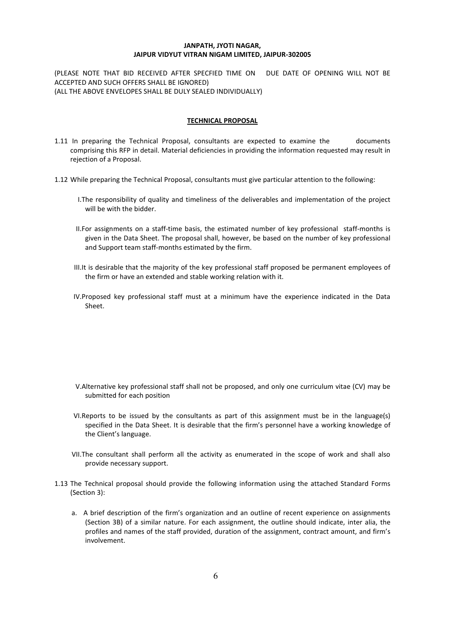#### JANPATH, JYOTI NAGAR, JAIPUR VIDYUT VITRAN NIGAM LIMITED, JAIPUR-302005

(PLEASE NOTE THAT BID RECEIVED AFTER SPECFIED TIME ON DUE DATE OF OPENING WILL NOT BE ACCEPTED AND SUCH OFFERS SHALL BE IGNORED) (ALL THE ABOVE ENVELOPES SHALL BE DULY SEALED INDIVIDUALLY)

#### TECHNICAL PROPOSAL

- 1.11 In preparing the Technical Proposal, consultants are expected to examine the documents comprising this RFP in detail. Material deficiencies in providing the information requested may result in rejection of a Proposal.
- 1.12 While preparing the Technical Proposal, consultants must give particular attention to the following:
	- I.The responsibility of quality and timeliness of the deliverables and implementation of the project will be with the bidder.
	- II.For assignments on a staff-time basis, the estimated number of key professional staff-months is given in the Data Sheet. The proposal shall, however, be based on the number of key professional and Support team staff-months estimated by the firm.
	- III.It is desirable that the majority of the key professional staff proposed be permanent employees of the firm or have an extended and stable working relation with it.
	- IV.Proposed key professional staff must at a minimum have the experience indicated in the Data Sheet.

- V.Alternative key professional staff shall not be proposed, and only one curriculum vitae (CV) may be submitted for each position
- VI.Reports to be issued by the consultants as part of this assignment must be in the language(s) specified in the Data Sheet. It is desirable that the firm's personnel have a working knowledge of the Client's language.
- VII.The consultant shall perform all the activity as enumerated in the scope of work and shall also provide necessary support.
- 1.13 The Technical proposal should provide the following information using the attached Standard Forms (Section 3):
	- a. A brief description of the firm's organization and an outline of recent experience on assignments (Section 3B) of a similar nature. For each assignment, the outline should indicate, inter alia, the profiles and names of the staff provided, duration of the assignment, contract amount, and firm's involvement.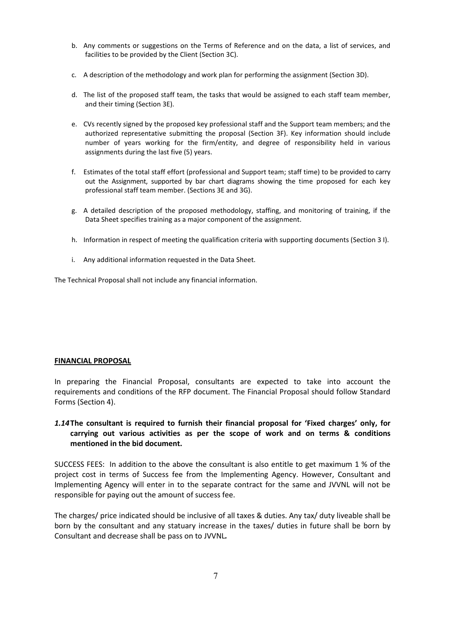- b. Any comments or suggestions on the Terms of Reference and on the data, a list of services, and facilities to be provided by the Client (Section 3C).
- c. A description of the methodology and work plan for performing the assignment (Section 3D).
- d. The list of the proposed staff team, the tasks that would be assigned to each staff team member, and their timing (Section 3E).
- e. CVs recently signed by the proposed key professional staff and the Support team members; and the authorized representative submitting the proposal (Section 3F). Key information should include number of years working for the firm/entity, and degree of responsibility held in various assignments during the last five (5) years.
- f. Estimates of the total staff effort (professional and Support team; staff time) to be provided to carry out the Assignment, supported by bar chart diagrams showing the time proposed for each key professional staff team member. (Sections 3E and 3G).
- g. A detailed description of the proposed methodology, staffing, and monitoring of training, if the Data Sheet specifies training as a major component of the assignment.
- h. Information in respect of meeting the qualification criteria with supporting documents (Section 3 I).
- i. Any additional information requested in the Data Sheet.

The Technical Proposal shall not include any financial information.

#### FINANCIAL PROPOSAL

In preparing the Financial Proposal, consultants are expected to take into account the requirements and conditions of the RFP document. The Financial Proposal should follow Standard Forms (Section 4).

1.14The consultant is required to furnish their financial proposal for 'Fixed charges' only, for carrying out various activities as per the scope of work and on terms & conditions mentioned in the bid document.

SUCCESS FEES: In addition to the above the consultant is also entitle to get maximum 1 % of the project cost in terms of Success fee from the Implementing Agency. However, Consultant and Implementing Agency will enter in to the separate contract for the same and JVVNL will not be responsible for paying out the amount of success fee.

The charges/ price indicated should be inclusive of all taxes & duties. Any tax/ duty liveable shall be born by the consultant and any statuary increase in the taxes/ duties in future shall be born by Consultant and decrease shall be pass on to JVVNL.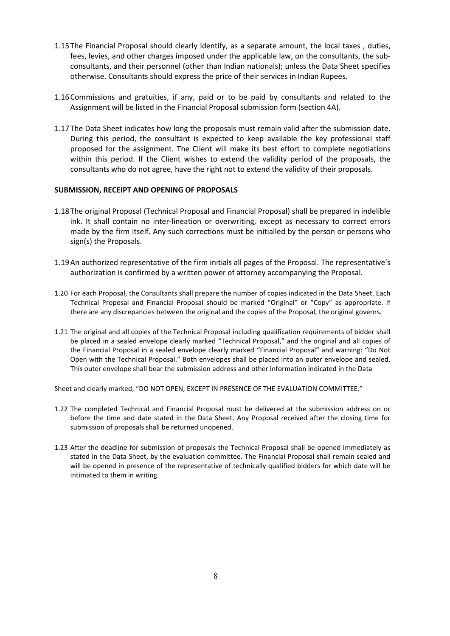- 1.15The Financial Proposal should clearly identify, as a separate amount, the local taxes , duties, fees, levies, and other charges imposed under the applicable law, on the consultants, the subconsultants, and their personnel (other than Indian nationals); unless the Data Sheet specifies otherwise. Consultants should express the price of their services in Indian Rupees.
- 1.16Commissions and gratuities, if any, paid or to be paid by consultants and related to the Assignment will be listed in the Financial Proposal submission form (section 4A).
- 1.17The Data Sheet indicates how long the proposals must remain valid after the submission date. During this period, the consultant is expected to keep available the key professional staff proposed for the assignment. The Client will make its best effort to complete negotiations within this period. If the Client wishes to extend the validity period of the proposals, the consultants who do not agree, have the right not to extend the validity of their proposals.

#### SUBMISSION, RECEIPT AND OPENING OF PROPOSALS

- 1.18The original Proposal (Technical Proposal and Financial Proposal) shall be prepared in indelible ink. It shall contain no inter-lineation or overwriting, except as necessary to correct errors made by the firm itself. Any such corrections must be initialled by the person or persons who sign(s) the Proposals.
- 1.19An authorized representative of the firm initials all pages of the Proposal. The representative's authorization is confirmed by a written power of attorney accompanying the Proposal.
- 1.20 For each Proposal, the Consultants shall prepare the number of copies indicated in the Data Sheet. Each Technical Proposal and Financial Proposal should be marked "Original" or "Copy" as appropriate. If there are any discrepancies between the original and the copies of the Proposal, the original governs.
- 1.21 The original and all copies of the Technical Proposal including qualification requirements of bidder shall be placed in a sealed envelope clearly marked "Technical Proposal," and the original and all copies of the Financial Proposal in a sealed envelope clearly marked "Financial Proposal" and warning: "Do Not Open with the Technical Proposal." Both envelopes shall be placed into an outer envelope and sealed. This outer envelope shall bear the submission address and other information indicated in the Data

Sheet and clearly marked, "DO NOT OPEN, EXCEPT IN PRESENCE OF THE EVALUATION COMMITTEE."

- 1.22 The completed Technical and Financial Proposal must be delivered at the submission address on or before the time and date stated in the Data Sheet. Any Proposal received after the closing time for submission of proposals shall be returned unopened.
- 1.23 After the deadline for submission of proposals the Technical Proposal shall be opened immediately as stated in the Data Sheet, by the evaluation committee. The Financial Proposal shall remain sealed and will be opened in presence of the representative of technically qualified bidders for which date will be intimated to them in writing.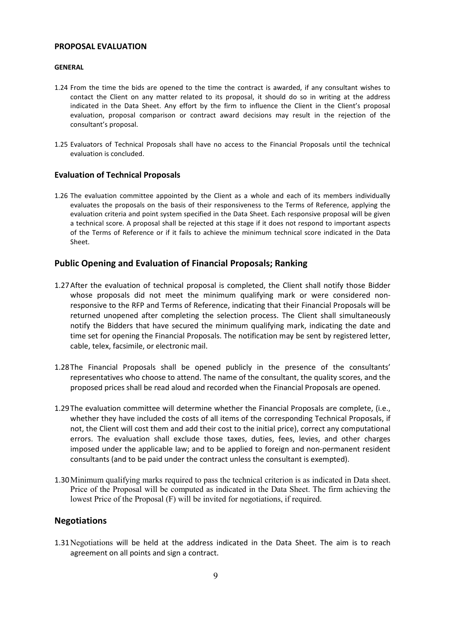#### PROPOSAL EVALUATION

#### **GENERAL**

- 1.24 From the time the bids are opened to the time the contract is awarded, if any consultant wishes to contact the Client on any matter related to its proposal, it should do so in writing at the address indicated in the Data Sheet. Any effort by the firm to influence the Client in the Client's proposal evaluation, proposal comparison or contract award decisions may result in the rejection of the consultant's proposal.
- 1.25 Evaluators of Technical Proposals shall have no access to the Financial Proposals until the technical evaluation is concluded.

#### Evaluation of Technical Proposals

1.26 The evaluation committee appointed by the Client as a whole and each of its members individually evaluates the proposals on the basis of their responsiveness to the Terms of Reference, applying the evaluation criteria and point system specified in the Data Sheet. Each responsive proposal will be given a technical score. A proposal shall be rejected at this stage if it does not respond to important aspects of the Terms of Reference or if it fails to achieve the minimum technical score indicated in the Data Sheet.

#### Public Opening and Evaluation of Financial Proposals; Ranking

- 1.27After the evaluation of technical proposal is completed, the Client shall notify those Bidder whose proposals did not meet the minimum qualifying mark or were considered nonresponsive to the RFP and Terms of Reference, indicating that their Financial Proposals will be returned unopened after completing the selection process. The Client shall simultaneously notify the Bidders that have secured the minimum qualifying mark, indicating the date and time set for opening the Financial Proposals. The notification may be sent by registered letter, cable, telex, facsimile, or electronic mail.
- 1.28The Financial Proposals shall be opened publicly in the presence of the consultants' representatives who choose to attend. The name of the consultant, the quality scores, and the proposed prices shall be read aloud and recorded when the Financial Proposals are opened.
- 1.29The evaluation committee will determine whether the Financial Proposals are complete, (i.e., whether they have included the costs of all items of the corresponding Technical Proposals, if not, the Client will cost them and add their cost to the initial price), correct any computational errors. The evaluation shall exclude those taxes, duties, fees, levies, and other charges imposed under the applicable law; and to be applied to foreign and non-permanent resident consultants (and to be paid under the contract unless the consultant is exempted).
- 1.30Minimum qualifying marks required to pass the technical criterion is as indicated in Data sheet. Price of the Proposal will be computed as indicated in the Data Sheet. The firm achieving the lowest Price of the Proposal (F) will be invited for negotiations, if required.

#### Negotiations

1.31Negotiations will be held at the address indicated in the Data Sheet. The aim is to reach agreement on all points and sign a contract.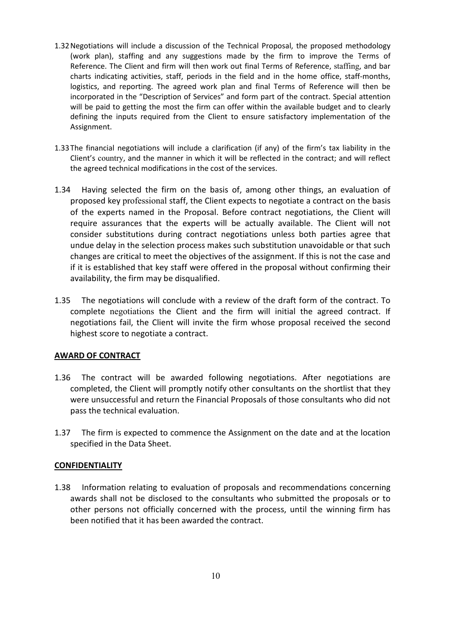- 1.32Negotiations will include a discussion of the Technical Proposal, the proposed methodology (work plan), staffing and any suggestions made by the firm to improve the Terms of Reference. The Client and firm will then work out final Terms of Reference, staffing, and bar charts indicating activities, staff, periods in the field and in the home office, staff-months, logistics, and reporting. The agreed work plan and final Terms of Reference will then be incorporated in the "Description of Services" and form part of the contract. Special attention will be paid to getting the most the firm can offer within the available budget and to clearly defining the inputs required from the Client to ensure satisfactory implementation of the Assignment.
- 1.33The financial negotiations will include a clarification (if any) of the firm's tax liability in the Client's country, and the manner in which it will be reflected in the contract; and will reflect the agreed technical modifications in the cost of the services.
- 1.34 Having selected the firm on the basis of, among other things, an evaluation of proposed key professional staff, the Client expects to negotiate a contract on the basis of the experts named in the Proposal. Before contract negotiations, the Client will require assurances that the experts will be actually available. The Client will not consider substitutions during contract negotiations unless both parties agree that undue delay in the selection process makes such substitution unavoidable or that such changes are critical to meet the objectives of the assignment. If this is not the case and if it is established that key staff were offered in the proposal without confirming their availability, the firm may be disqualified.
- 1.35 The negotiations will conclude with a review of the draft form of the contract. To complete negotiations the Client and the firm will initial the agreed contract. If negotiations fail, the Client will invite the firm whose proposal received the second highest score to negotiate a contract.

#### AWARD OF CONTRACT

- 1.36 The contract will be awarded following negotiations. After negotiations are completed, the Client will promptly notify other consultants on the shortlist that they were unsuccessful and return the Financial Proposals of those consultants who did not pass the technical evaluation.
- 1.37 The firm is expected to commence the Assignment on the date and at the location specified in the Data Sheet.

#### CONFIDENTIALITY

1.38 Information relating to evaluation of proposals and recommendations concerning awards shall not be disclosed to the consultants who submitted the proposals or to other persons not officially concerned with the process, until the winning firm has been notified that it has been awarded the contract.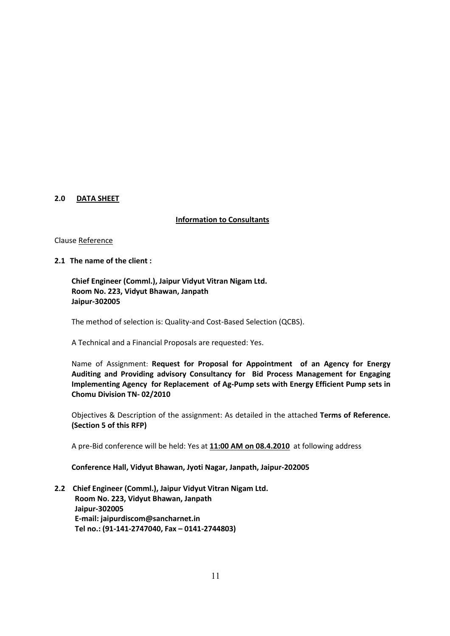#### 2.0 DATA SHEET

#### Information to Consultants

#### Clause Reference

#### 2.1 The name of the client :

Chief Engineer (Comml.), Jaipur Vidyut Vitran Nigam Ltd. Room No. 223, Vidyut Bhawan, Janpath Jaipur-302005

The method of selection is: Quality-and Cost-Based Selection (QCBS).

A Technical and a Financial Proposals are requested: Yes.

Name of Assignment: Request for Proposal for Appointment of an Agency for Energy Auditing and Providing advisory Consultancy for Bid Process Management for Engaging Implementing Agency for Replacement of Ag-Pump sets with Energy Efficient Pump sets in Chomu Division TN- 02/2010

Objectives & Description of the assignment: As detailed in the attached Terms of Reference. (Section 5 of this RFP)

A pre-Bid conference will be held: Yes at 11:00 AM on 08.4.2010 at following address

Conference Hall, Vidyut Bhawan, Jyoti Nagar, Janpath, Jaipur-202005

2.2 Chief Engineer (Comml.), Jaipur Vidyut Vitran Nigam Ltd. Room No. 223, Vidyut Bhawan, Janpath Jaipur-302005 E-mail: jaipurdiscom@sancharnet.in Tel no.: (91-141-2747040, Fax – 0141-2744803)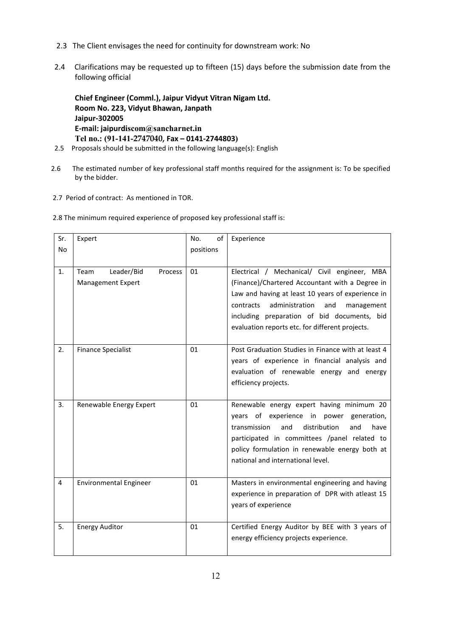- 2.3 The Client envisages the need for continuity for downstream work: No
- 2.4 Clarifications may be requested up to fifteen (15) days before the submission date from the following official

Chief Engineer (Comml.), Jaipur Vidyut Vitran Nigam Ltd. Room No. 223, Vidyut Bhawan, Janpath Jaipur-302005 E-mail: jaipurdiscom@sancharnet.in Tel no.: (91-141-2747040, Fax – 0141-2744803)

- 2.5 Proposals should be submitted in the following language(s): English
- 2.6 The estimated number of key professional staff months required for the assignment is: To be specified by the bidder.
- 2.7 Period of contract: As mentioned in TOR.
- 2.8 The minimum required experience of proposed key professional staff is:

| Sr.       | Expert                        | No.       | of | Experience                                                                                            |
|-----------|-------------------------------|-----------|----|-------------------------------------------------------------------------------------------------------|
| <b>No</b> |                               | positions |    |                                                                                                       |
|           |                               |           |    |                                                                                                       |
| 1.        | Leader/Bid<br>Team<br>Process | 01        |    | Electrical / Mechanical/ Civil engineer, MBA                                                          |
|           | <b>Management Expert</b>      |           |    | (Finance)/Chartered Accountant with a Degree in                                                       |
|           |                               |           |    | Law and having at least 10 years of experience in<br>administration<br>contracts<br>and<br>management |
|           |                               |           |    | including preparation of bid documents, bid                                                           |
|           |                               |           |    | evaluation reports etc. for different projects.                                                       |
|           |                               |           |    |                                                                                                       |
| 2.        | <b>Finance Specialist</b>     | 01        |    | Post Graduation Studies in Finance with at least 4                                                    |
|           |                               |           |    | years of experience in financial analysis and                                                         |
|           |                               |           |    | evaluation of renewable energy and energy                                                             |
|           |                               |           |    | efficiency projects.                                                                                  |
|           |                               |           |    |                                                                                                       |
| 3.        | Renewable Energy Expert       | 01        |    | Renewable energy expert having minimum 20                                                             |
|           |                               |           |    | years of experience in power<br>generation,<br>distribution<br>transmission<br>and<br>and<br>have     |
|           |                               |           |    | participated in committees /panel related to                                                          |
|           |                               |           |    | policy formulation in renewable energy both at                                                        |
|           |                               |           |    | national and international level.                                                                     |
|           |                               |           |    |                                                                                                       |
| 4         | <b>Environmental Engineer</b> | 01        |    | Masters in environmental engineering and having                                                       |
|           |                               |           |    | experience in preparation of DPR with atleast 15                                                      |
|           |                               |           |    | years of experience                                                                                   |
|           |                               |           |    |                                                                                                       |
| 5.        | <b>Energy Auditor</b>         | 01        |    | Certified Energy Auditor by BEE with 3 years of                                                       |
|           |                               |           |    | energy efficiency projects experience.                                                                |
|           |                               |           |    |                                                                                                       |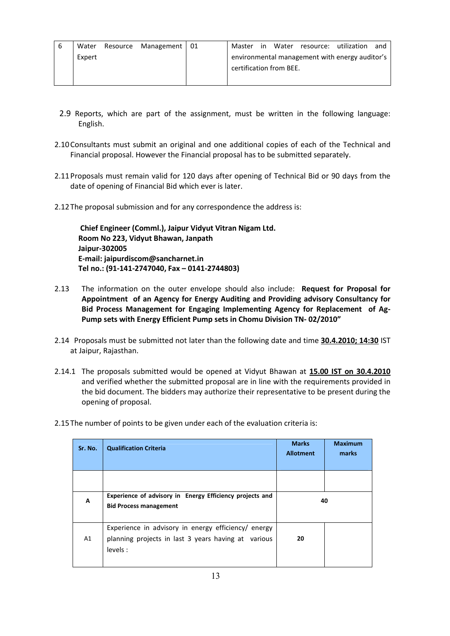| 6 | Water  | Resource Management   01 | Master                  | in. |  | Water resource: utilization                    | and |
|---|--------|--------------------------|-------------------------|-----|--|------------------------------------------------|-----|
|   | Expert |                          |                         |     |  | environmental management with energy auditor's |     |
|   |        |                          | certification from BEE. |     |  |                                                |     |
|   |        |                          |                         |     |  |                                                |     |

- 2.9 Reports, which are part of the assignment, must be written in the following language: English.
- 2.10Consultants must submit an original and one additional copies of each of the Technical and Financial proposal. However the Financial proposal has to be submitted separately.
- 2.11Proposals must remain valid for 120 days after opening of Technical Bid or 90 days from the date of opening of Financial Bid which ever is later.
- 2.12The proposal submission and for any correspondence the address is:

 Chief Engineer (Comml.), Jaipur Vidyut Vitran Nigam Ltd. Room No 223, Vidyut Bhawan, Janpath Jaipur-302005 E-mail: jaipurdiscom@sancharnet.in Tel no.: (91-141-2747040, Fax – 0141-2744803)

- 2.13 The information on the outer envelope should also include: Request for Proposal for Appointment of an Agency for Energy Auditing and Providing advisory Consultancy for Bid Process Management for Engaging Implementing Agency for Replacement of Ag-Pump sets with Energy Efficient Pump sets in Chomu Division TN- 02/2010"
- 2.14 Proposals must be submitted not later than the following date and time 30.4.2010; 14:30 IST at Jaipur, Rajasthan.
- 2.14.1 The proposals submitted would be opened at Vidyut Bhawan at 15.00 IST on 30.4.2010 and verified whether the submitted proposal are in line with the requirements provided in the bid document. The bidders may authorize their representative to be present during the opening of proposal.
- 2.15The number of points to be given under each of the evaluation criteria is:

| Sr. No. | <b>Qualification Criteria</b>                                                                                         | <b>Marks</b><br><b>Allotment</b> | <b>Maximum</b><br>marks |
|---------|-----------------------------------------------------------------------------------------------------------------------|----------------------------------|-------------------------|
|         |                                                                                                                       |                                  |                         |
|         |                                                                                                                       |                                  |                         |
| A       | Experience of advisory in Energy Efficiency projects and<br><b>Bid Process management</b>                             | 40                               |                         |
| A1      | Experience in advisory in energy efficiency/ energy<br>planning projects in last 3 years having at various<br>levels: | 20                               |                         |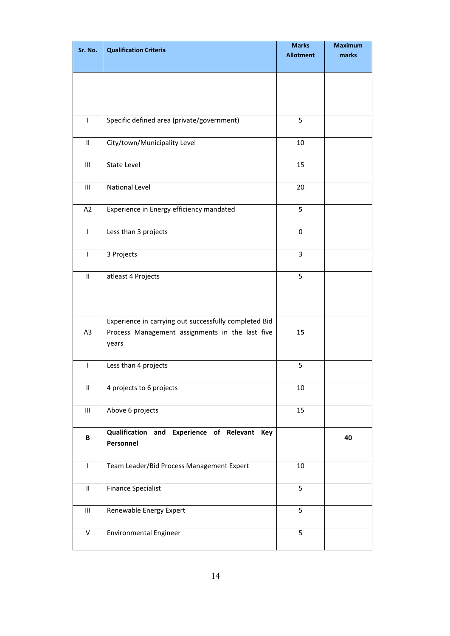| Sr. No.                            | <b>Qualification Criteria</b>                                                                            | <b>Marks</b><br><b>Allotment</b> | <b>Maximum</b><br>marks |
|------------------------------------|----------------------------------------------------------------------------------------------------------|----------------------------------|-------------------------|
|                                    |                                                                                                          |                                  |                         |
|                                    |                                                                                                          |                                  |                         |
|                                    |                                                                                                          |                                  |                         |
|                                    |                                                                                                          |                                  |                         |
| T                                  | Specific defined area (private/government)                                                               | 5                                |                         |
| $\mathbf{H}$                       | City/town/Municipality Level                                                                             | 10                               |                         |
|                                    |                                                                                                          |                                  |                         |
| Ш                                  | State Level                                                                                              | 15                               |                         |
|                                    |                                                                                                          |                                  |                         |
| Ш                                  | National Level                                                                                           | 20                               |                         |
| A2                                 | Experience in Energy efficiency mandated                                                                 | 5                                |                         |
|                                    |                                                                                                          |                                  |                         |
| $\mathbf{I}$                       | Less than 3 projects                                                                                     | 0                                |                         |
|                                    |                                                                                                          |                                  |                         |
| L                                  | 3 Projects                                                                                               | $\overline{3}$                   |                         |
| $\mathsf{I}$                       | atleast 4 Projects                                                                                       | 5                                |                         |
|                                    |                                                                                                          |                                  |                         |
|                                    |                                                                                                          |                                  |                         |
|                                    |                                                                                                          |                                  |                         |
| A <sub>3</sub>                     | Experience in carrying out successfully completed Bid<br>Process Management assignments in the last five | 15                               |                         |
|                                    | years                                                                                                    |                                  |                         |
|                                    |                                                                                                          |                                  |                         |
| I                                  | Less than 4 projects                                                                                     | 5                                |                         |
|                                    |                                                                                                          |                                  |                         |
| Ш                                  | 4 projects to 6 projects                                                                                 | 10                               |                         |
| $\ensuremath{\mathsf{III}}\xspace$ | Above 6 projects                                                                                         | 15                               |                         |
|                                    |                                                                                                          |                                  |                         |
| B                                  | and Experience of Relevant Key<br>Qualification                                                          |                                  | 40                      |
|                                    | Personnel                                                                                                |                                  |                         |
| $\mathbf{I}$                       | Team Leader/Bid Process Management Expert                                                                | 10                               |                         |
|                                    |                                                                                                          |                                  |                         |
| Ш                                  | <b>Finance Specialist</b>                                                                                | 5                                |                         |
|                                    |                                                                                                          |                                  |                         |
| Ш                                  | Renewable Energy Expert                                                                                  | 5                                |                         |
| $\sf V$                            | <b>Environmental Engineer</b>                                                                            | 5                                |                         |
|                                    |                                                                                                          |                                  |                         |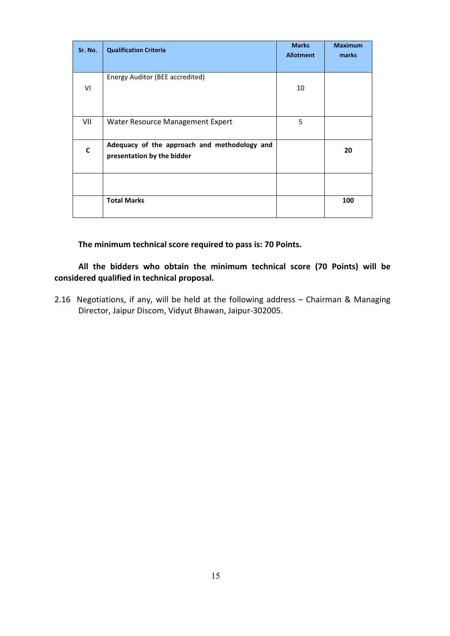| Sr. No. | <b>Qualification Criteria</b>                                              | <b>Marks</b><br><b>Allotment</b> | <b>Maximum</b><br>marks |
|---------|----------------------------------------------------------------------------|----------------------------------|-------------------------|
| VI      | Energy Auditor (BEE accredited)                                            | 10                               |                         |
| VII     | Water Resource Management Expert                                           | 5                                |                         |
| C       | Adequacy of the approach and methodology and<br>presentation by the bidder |                                  | 20                      |
|         |                                                                            |                                  |                         |
|         | <b>Total Marks</b>                                                         |                                  | 100                     |

# The minimum technical score required to pass is: 70 Points.

All the bidders who obtain the minimum technical score (70 Points) will be considered qualified in technical proposal.

2.16 Negotiations, if any, will be held at the following address – Chairman & Managing Director, Jaipur Discom, Vidyut Bhawan, Jaipur-302005.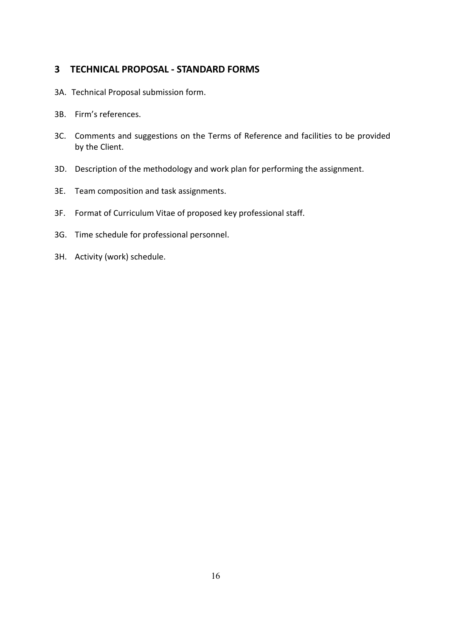# 3 TECHNICAL PROPOSAL - STANDARD FORMS

- 3A. Technical Proposal submission form.
- 3B. Firm's references.
- 3C. Comments and suggestions on the Terms of Reference and facilities to be provided by the Client.
- 3D. Description of the methodology and work plan for performing the assignment.
- 3E. Team composition and task assignments.
- 3F. Format of Curriculum Vitae of proposed key professional staff.
- 3G. Time schedule for professional personnel.
- 3H. Activity (work) schedule.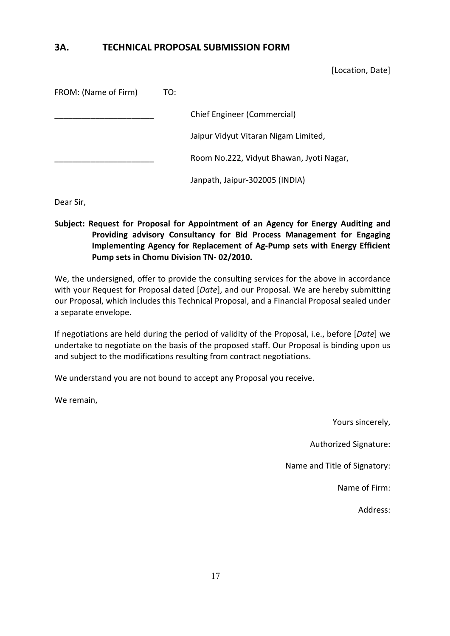3A. TECHNICAL PROPOSAL SUBMISSION FORM

[Location, Date]

| FROM: (Name of Firm) | TO: |                                          |
|----------------------|-----|------------------------------------------|
|                      |     | Chief Engineer (Commercial)              |
|                      |     | Jaipur Vidyut Vitaran Nigam Limited,     |
|                      |     | Room No.222, Vidyut Bhawan, Jyoti Nagar, |
|                      |     | Janpath, Jaipur-302005 (INDIA)           |

Dear Sir,

Subject: Request for Proposal for Appointment of an Agency for Energy Auditing and Providing advisory Consultancy for Bid Process Management for Engaging Implementing Agency for Replacement of Ag-Pump sets with Energy Efficient Pump sets in Chomu Division TN- 02/2010.

We, the undersigned, offer to provide the consulting services for the above in accordance with your Request for Proposal dated [Date], and our Proposal. We are hereby submitting our Proposal, which includes this Technical Proposal, and a Financial Proposal sealed under a separate envelope.

If negotiations are held during the period of validity of the Proposal, i.e., before [Date] we undertake to negotiate on the basis of the proposed staff. Our Proposal is binding upon us and subject to the modifications resulting from contract negotiations.

We understand you are not bound to accept any Proposal you receive.

We remain,

Yours sincerely,

Authorized Signature:

Name and Title of Signatory:

Name of Firm:

Address: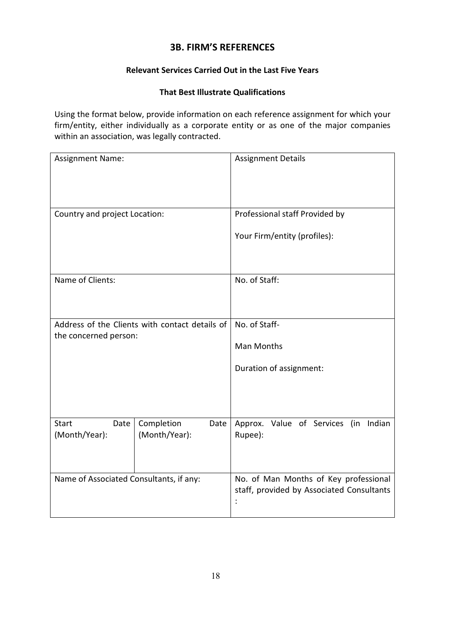# 3B. FIRM'S REFERENCES

### Relevant Services Carried Out in the Last Five Years

### That Best Illustrate Qualifications

Using the format below, provide information on each reference assignment for which your firm/entity, either individually as a corporate entity or as one of the major companies within an association, was legally contracted.

| <b>Assignment Name:</b>                 |                                                | <b>Assignment Details</b>                             |  |  |
|-----------------------------------------|------------------------------------------------|-------------------------------------------------------|--|--|
|                                         |                                                |                                                       |  |  |
|                                         |                                                |                                                       |  |  |
| Country and project Location:           |                                                | Professional staff Provided by                        |  |  |
|                                         |                                                | Your Firm/entity (profiles):                          |  |  |
|                                         |                                                |                                                       |  |  |
| Name of Clients:                        |                                                | No. of Staff:                                         |  |  |
|                                         |                                                |                                                       |  |  |
|                                         | Address of the Clients with contact details of | No. of Staff-                                         |  |  |
| the concerned person:                   |                                                | <b>Man Months</b>                                     |  |  |
|                                         |                                                | Duration of assignment:                               |  |  |
|                                         |                                                |                                                       |  |  |
|                                         |                                                |                                                       |  |  |
| <b>Start</b><br>Date                    | Completion<br>Date                             | Approx. Value of Services (in<br>Indian               |  |  |
| (Month/Year):<br>(Month/Year):          |                                                | Rupee):                                               |  |  |
|                                         |                                                |                                                       |  |  |
| Name of Associated Consultants, if any: |                                                | No. of Man Months of Key professional                 |  |  |
|                                         |                                                | staff, provided by Associated Consultants<br>$\vdots$ |  |  |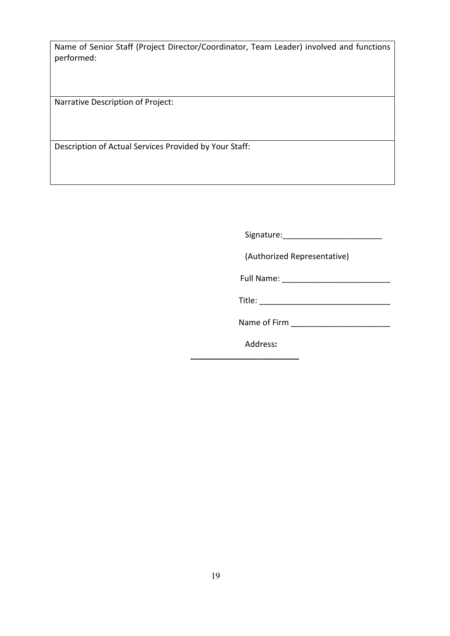Name of Senior Staff (Project Director/Coordinator, Team Leader) involved and functions performed:

Narrative Description of Project:

Description of Actual Services Provided by Your Staff:

Signature:\_\_\_\_\_\_\_\_\_\_\_\_\_\_\_\_\_\_\_\_\_\_

(Authorized Representative)

Full Name: \_\_\_\_\_\_\_\_\_\_\_\_\_\_\_\_\_\_\_\_\_\_\_\_

Title: \_\_\_\_\_\_\_\_\_\_\_\_\_\_\_\_\_\_\_\_\_\_\_\_\_\_\_\_\_

Name of Firm \_\_\_\_\_\_\_\_\_\_\_\_\_\_\_\_\_\_\_\_\_\_

Address:

\_\_\_\_\_\_\_\_\_\_\_\_\_\_\_\_\_\_\_\_\_\_\_\_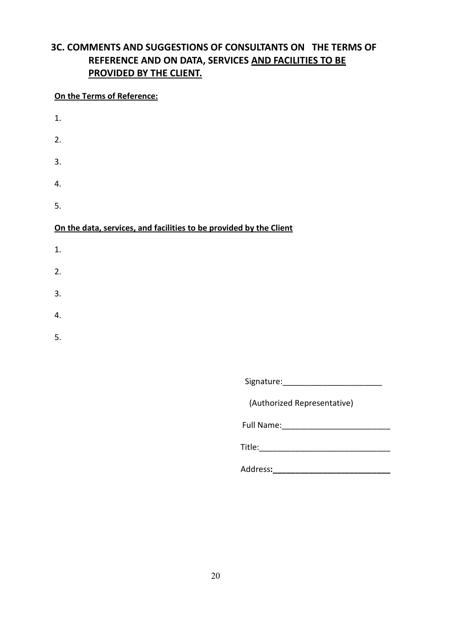# 3C. COMMENTS AND SUGGESTIONS OF CONSULTANTS ON THE TERMS OF REFERENCE AND ON DATA, SERVICES AND FACILITIES TO BE PROVIDED BY THE CLIENT.

# On the Terms of Reference:

| 1.                                                                 |  |
|--------------------------------------------------------------------|--|
| 2.                                                                 |  |
| 3.                                                                 |  |
| 4.                                                                 |  |
| 5.                                                                 |  |
|                                                                    |  |
| On the data, services, and facilities to be provided by the Client |  |
| 1.                                                                 |  |
| 2.                                                                 |  |
| 3.                                                                 |  |

5.

Signature:\_\_\_\_\_\_\_\_\_\_\_\_\_\_\_\_\_\_\_\_\_\_

(Authorized Representative)

Full Name:

Title:\_\_\_\_\_\_\_\_\_\_\_\_\_\_\_\_\_\_\_\_\_\_\_\_\_\_\_\_\_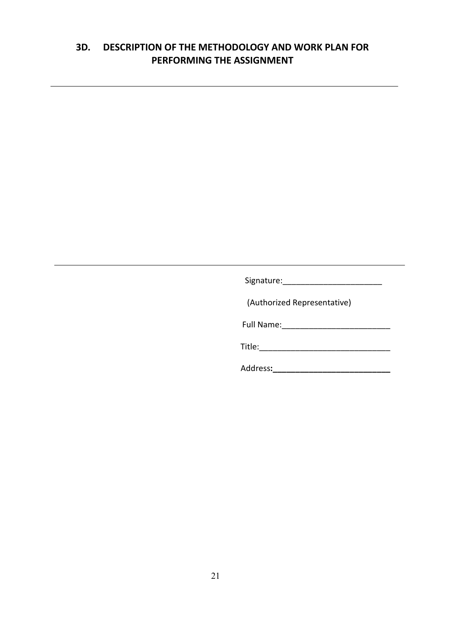# 3D. DESCRIPTION OF THE METHODOLOGY AND WORK PLAN FOR PERFORMING THE ASSIGNMENT

Signature:\_\_\_\_\_\_\_\_\_\_\_\_\_\_\_\_\_\_\_\_\_\_

(Authorized Representative)

Full Name:\_\_\_\_\_\_\_\_\_\_\_\_\_\_\_\_\_\_\_\_\_\_\_\_

Title:\_\_\_\_\_\_\_\_\_\_\_\_\_\_\_\_\_\_\_\_\_\_\_\_\_\_\_\_\_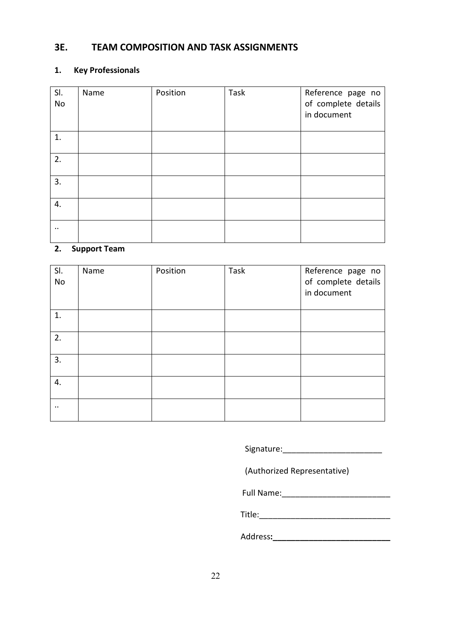# 3E. TEAM COMPOSITION AND TASK ASSIGNMENTS

# 1. Key Professionals

| SI.<br>No     | Name | Position | Task | Reference page no<br>of complete details<br>in document |
|---------------|------|----------|------|---------------------------------------------------------|
| 1.            |      |          |      |                                                         |
| 2.            |      |          |      |                                                         |
| 3.            |      |          |      |                                                         |
| 4.            |      |          |      |                                                         |
| $\cdot \cdot$ |      |          |      |                                                         |

# 2. Support Team

| SI.<br>No     | Name | Position | Task | Reference page no<br>of complete details<br>in document |
|---------------|------|----------|------|---------------------------------------------------------|
| 1.            |      |          |      |                                                         |
| 2.            |      |          |      |                                                         |
| 3.            |      |          |      |                                                         |
| 4.            |      |          |      |                                                         |
| $\cdot \cdot$ |      |          |      |                                                         |

Signature:\_\_\_\_\_\_\_\_\_\_\_\_\_\_\_\_\_\_\_\_\_\_

(Authorized Representative)

Full Name:\_\_\_\_\_\_\_\_\_\_\_\_\_\_\_\_\_\_\_\_\_\_\_\_

Title:\_\_\_\_\_\_\_\_\_\_\_\_\_\_\_\_\_\_\_\_\_\_\_\_\_\_\_\_\_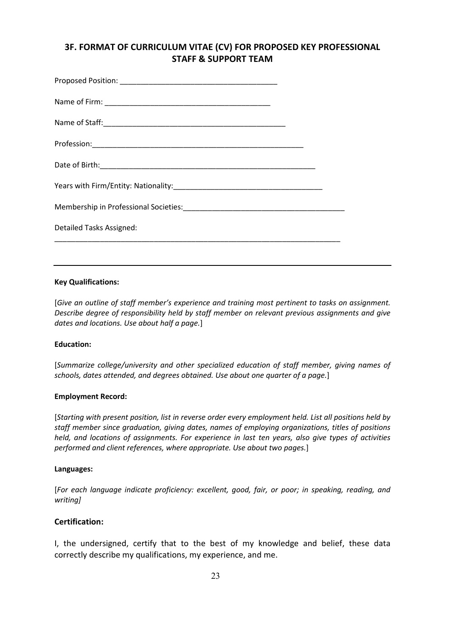# 3F. FORMAT OF CURRICULUM VITAE (CV) FOR PROPOSED KEY PROFESSIONAL STAFF & SUPPORT TEAM

| Detailed Tasks Assigned: |  |
|--------------------------|--|
|                          |  |

#### Key Qualifications:

[Give an outline of staff member's experience and training most pertinent to tasks on assignment. Describe degree of responsibility held by staff member on relevant previous assignments and give dates and locations. Use about half a page.]

#### Education:

[Summarize college/university and other specialized education of staff member, giving names of schools, dates attended, and degrees obtained. Use about one quarter of a page.]

#### Employment Record:

[Starting with present position, list in reverse order every employment held. List all positions held by staff member since graduation, giving dates, names of employing organizations, titles of positions held, and locations of assignments. For experience in last ten years, also give types of activities performed and client references, where appropriate. Use about two pages.]

#### Languages:

[For each language indicate proficiency: excellent, good, fair, or poor; in speaking, reading, and writing]

#### Certification:

I, the undersigned, certify that to the best of my knowledge and belief, these data correctly describe my qualifications, my experience, and me.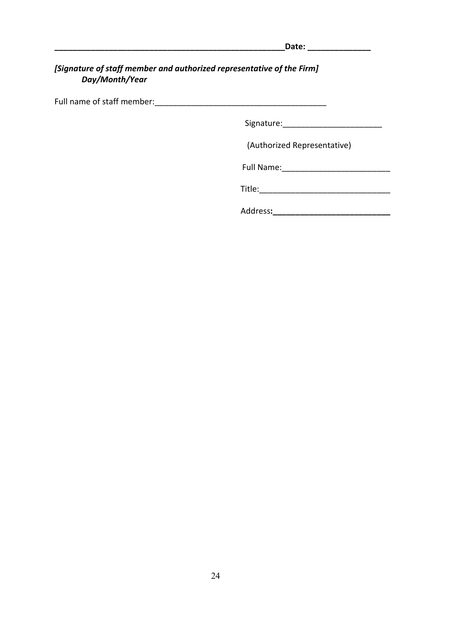# [Signature of staff member and authorized representative of the Firm] Day/Month/Year

Full name of staff member:\_\_\_\_\_\_\_\_\_\_\_\_\_\_\_\_\_\_\_\_\_\_\_\_\_\_\_\_\_\_\_\_\_\_\_\_\_\_

Signature:\_\_\_\_\_\_\_\_\_\_\_\_\_\_\_\_\_\_\_\_\_\_

(Authorized Representative)

Full Name:\_\_\_\_\_\_\_\_\_\_\_\_\_\_\_\_\_\_\_\_\_\_\_\_

Title:\_\_\_\_\_\_\_\_\_\_\_\_\_\_\_\_\_\_\_\_\_\_\_\_\_\_\_\_\_

Address: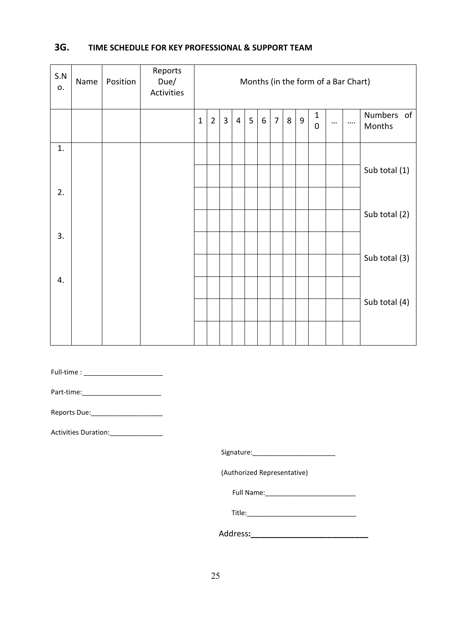# 3G. TIME SCHEDULE FOR KEY PROFESSIONAL & SUPPORT TEAM

| S.N<br>0. | Name | Position | Reports<br>Due/<br>Activities | Months (in the form of a Bar Chart) |                |                |                |   |   |                |   |                  |                           |          |          |                      |
|-----------|------|----------|-------------------------------|-------------------------------------|----------------|----------------|----------------|---|---|----------------|---|------------------|---------------------------|----------|----------|----------------------|
|           |      |          |                               | $\mathbf{1}$                        | $\overline{2}$ | $\overline{3}$ | $\overline{4}$ | 5 | 6 | $\overline{7}$ | 8 | $\boldsymbol{9}$ | $\mathbf{1}$<br>$\pmb{0}$ | $\cdots$ | $\cdots$ | Numbers of<br>Months |
| 1.        |      |          |                               |                                     |                |                |                |   |   |                |   |                  |                           |          |          |                      |
|           |      |          |                               |                                     |                |                |                |   |   |                |   |                  |                           |          |          | Sub total (1)        |
| 2.        |      |          |                               |                                     |                |                |                |   |   |                |   |                  |                           |          |          | Sub total (2)        |
| 3.        |      |          |                               |                                     |                |                |                |   |   |                |   |                  |                           |          |          |                      |
|           |      |          |                               |                                     |                |                |                |   |   |                |   |                  |                           |          |          | Sub total (3)        |
| 4.        |      |          |                               |                                     |                |                |                |   |   |                |   |                  |                           |          |          |                      |
|           |      |          |                               |                                     |                |                |                |   |   |                |   |                  |                           |          |          | Sub total (4)        |
|           |      |          |                               |                                     |                |                |                |   |   |                |   |                  |                           |          |          |                      |
|           |      |          |                               |                                     |                |                |                |   |   |                |   |                  |                           |          |          |                      |

Full-time : \_\_\_\_\_\_\_\_\_\_\_\_\_\_\_\_\_\_\_\_\_

Part-time:\_\_\_\_\_\_\_\_\_\_\_\_\_\_\_\_\_\_\_\_\_

Reports Due:\_\_\_\_\_\_\_\_\_\_\_\_\_\_\_\_\_\_\_

Activities Duration:\_\_\_\_\_\_\_\_\_\_\_\_\_\_\_\_\_

Signature:\_\_\_\_\_\_\_\_\_\_\_\_\_\_\_\_\_\_\_\_\_\_

(Authorized Representative)

Full Name:\_\_\_\_\_\_\_\_\_\_\_\_\_\_\_\_\_\_\_\_\_\_\_\_

Title:\_\_\_\_\_\_\_\_\_\_\_\_\_\_\_\_\_\_\_\_\_\_\_\_\_\_\_\_\_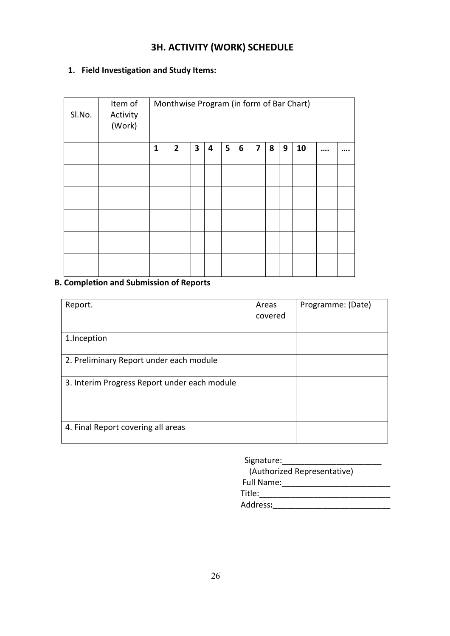# 3H. ACTIVITY (WORK) SCHEDULE

# 1. Field Investigation and Study Items:

| SI.No. | Item of<br>Activity<br>(Work) | Monthwise Program (in form of Bar Chart) |                |   |   |   |   |   |   |   |    |  |
|--------|-------------------------------|------------------------------------------|----------------|---|---|---|---|---|---|---|----|--|
|        |                               | $\mathbf{1}$                             | $\overline{2}$ | 3 | 4 | 5 | 6 | 7 | 8 | 9 | 10 |  |
|        |                               |                                          |                |   |   |   |   |   |   |   |    |  |
|        |                               |                                          |                |   |   |   |   |   |   |   |    |  |
|        |                               |                                          |                |   |   |   |   |   |   |   |    |  |
|        |                               |                                          |                |   |   |   |   |   |   |   |    |  |
|        |                               |                                          |                |   |   |   |   |   |   |   |    |  |

# B. Completion and Submission of Reports

| Report.                                      | Areas<br>covered | Programme: (Date) |
|----------------------------------------------|------------------|-------------------|
| 1.Inception                                  |                  |                   |
| 2. Preliminary Report under each module      |                  |                   |
| 3. Interim Progress Report under each module |                  |                   |
| 4. Final Report covering all areas           |                  |                   |

Signature:\_\_\_\_\_\_\_\_\_\_\_\_\_\_\_\_\_\_\_\_\_\_

 (Authorized Representative) Full Name:\_\_\_\_\_\_\_\_\_\_\_\_\_\_\_\_\_\_\_\_\_\_\_\_ Title:\_\_\_\_\_\_\_\_\_\_\_\_\_\_\_\_\_\_\_\_\_\_\_\_\_\_\_\_\_ Address:\_\_\_\_\_\_\_\_\_\_\_\_\_\_\_\_\_\_\_\_\_\_\_\_\_\_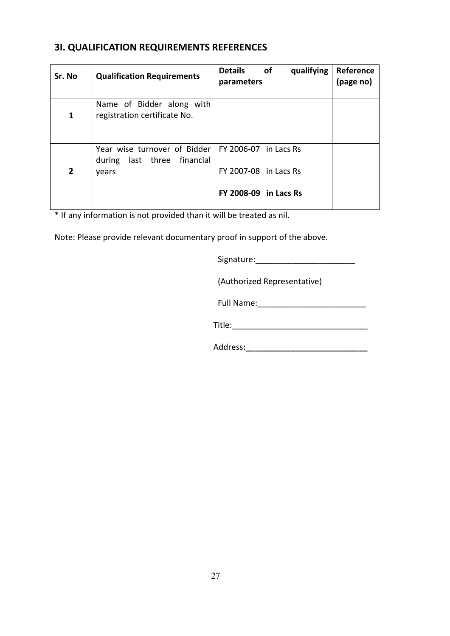# 3I. QUALIFICATION REQUIREMENTS REFERENCES

| Sr. No       | <b>Qualification Requirements</b>                                                    | qualifying<br><b>Details</b><br>of<br>parameters | Reference<br>(page no) |
|--------------|--------------------------------------------------------------------------------------|--------------------------------------------------|------------------------|
| $\mathbf{1}$ | Name of Bidder along with<br>registration certificate No.                            |                                                  |                        |
|              | Year wise turnover of Bidder FY 2006-07 in Lacs Rs<br>last three financial<br>during |                                                  |                        |
| 2            | years                                                                                | FY 2007-08 in Lacs Rs                            |                        |
|              |                                                                                      | FY 2008-09 in Lacs Rs                            |                        |

\* If any information is not provided than it will be treated as nil.

Note: Please provide relevant documentary proof in support of the above.

Signature:\_\_\_\_\_\_\_\_\_\_\_\_\_\_\_\_\_\_\_\_\_\_

(Authorized Representative)

| <b>Full Name:</b> |
|-------------------|
|-------------------|

Title:\_\_\_\_\_\_\_\_\_\_\_\_\_\_\_\_\_\_\_\_\_\_\_\_\_\_\_\_\_\_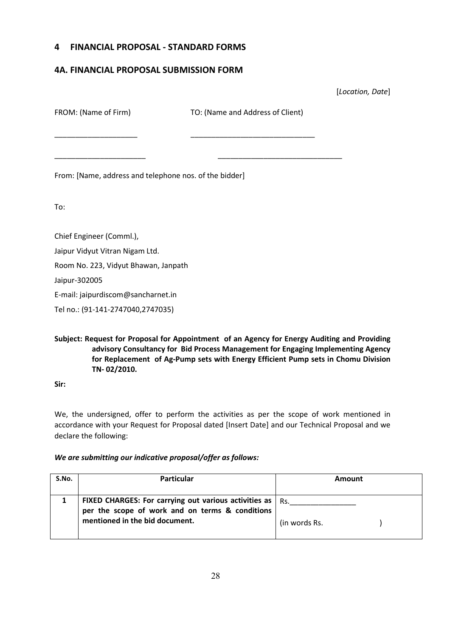## 4 FINANCIAL PROPOSAL - STANDARD FORMS

### 4A. FINANCIAL PROPOSAL SUBMISSION FORM

[Location, Date]

| TO: (Name and Address of Client)                       |
|--------------------------------------------------------|
|                                                        |
|                                                        |
|                                                        |
| From: [Name, address and telephone nos. of the bidder] |
|                                                        |
|                                                        |
|                                                        |
|                                                        |
|                                                        |
| Room No. 223, Vidyut Bhawan, Janpath                   |
|                                                        |
|                                                        |
|                                                        |
|                                                        |

#### Subject: Request for Proposal for Appointment of an Agency for Energy Auditing and Providing advisory Consultancy for Bid Process Management for Engaging Implementing Agency for Replacement of Ag-Pump sets with Energy Efficient Pump sets in Chomu Division TN- 02/2010.

Sir:

We, the undersigned, offer to perform the activities as per the scope of work mentioned in accordance with your Request for Proposal dated [Insert Date] and our Technical Proposal and we declare the following:

#### We are submitting our indicative proposal/offer as follows:

| S.No. | <b>Particular</b>                                                                                                                                  | Amount         |
|-------|----------------------------------------------------------------------------------------------------------------------------------------------------|----------------|
|       | FIXED CHARGES: For carrying out various activities as $ $ Rs.<br>per the scope of work and on terms & conditions<br>mentioned in the bid document. | (in words Rs.) |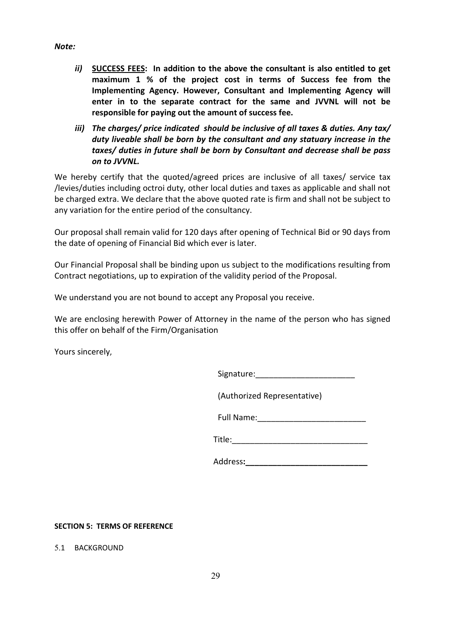ii) SUCCESS FEES: In addition to the above the consultant is also entitled to get maximum 1 % of the project cost in terms of Success fee from the Implementing Agency. However, Consultant and Implementing Agency will enter in to the separate contract for the same and JVVNL will not be responsible for paying out the amount of success fee.

iii) The charges/ price indicated should be inclusive of all taxes & duties. Any tax/ duty liveable shall be born by the consultant and any statuary increase in the taxes/ duties in future shall be born by Consultant and decrease shall be pass on to JVVNL.

We hereby certify that the quoted/agreed prices are inclusive of all taxes/ service tax /levies/duties including octroi duty, other local duties and taxes as applicable and shall not be charged extra. We declare that the above quoted rate is firm and shall not be subject to any variation for the entire period of the consultancy.

Our proposal shall remain valid for 120 days after opening of Technical Bid or 90 days from the date of opening of Financial Bid which ever is later.

Our Financial Proposal shall be binding upon us subject to the modifications resulting from Contract negotiations, up to expiration of the validity period of the Proposal.

We understand you are not bound to accept any Proposal you receive.

We are enclosing herewith Power of Attorney in the name of the person who has signed this offer on behalf of the Firm/Organisation

Yours sincerely,

Signature:\_\_\_\_\_\_\_\_\_\_\_\_\_\_\_\_\_\_\_\_\_\_

(Authorized Representative)

Full Name:

 $\blacksquare$ 

Address:

SECTION 5: TERMS OF REFERENCE

5.1 BACKGROUND

Note: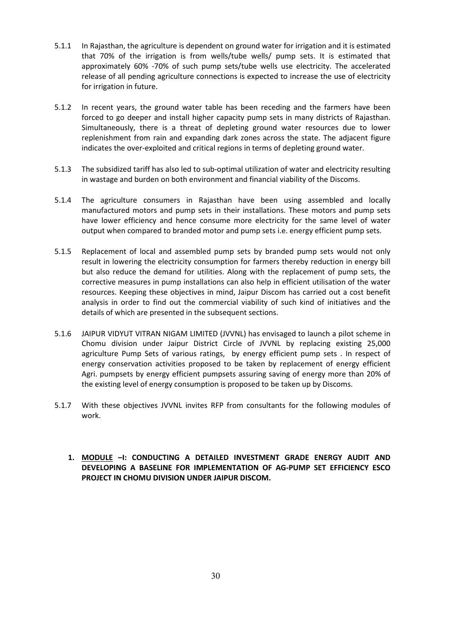- 5.1.1 In Rajasthan, the agriculture is dependent on ground water for irrigation and it is estimated that 70% of the irrigation is from wells/tube wells/ pump sets. It is estimated that approximately 60% -70% of such pump sets/tube wells use electricity. The accelerated release of all pending agriculture connections is expected to increase the use of electricity for irrigation in future.
- 5.1.2 In recent years, the ground water table has been receding and the farmers have been forced to go deeper and install higher capacity pump sets in many districts of Rajasthan. Simultaneously, there is a threat of depleting ground water resources due to lower replenishment from rain and expanding dark zones across the state. The adjacent figure indicates the over-exploited and critical regions in terms of depleting ground water.
- 5.1.3 The subsidized tariff has also led to sub-optimal utilization of water and electricity resulting in wastage and burden on both environment and financial viability of the Discoms.
- 5.1.4 The agriculture consumers in Rajasthan have been using assembled and locally manufactured motors and pump sets in their installations. These motors and pump sets have lower efficiency and hence consume more electricity for the same level of water output when compared to branded motor and pump sets i.e. energy efficient pump sets.
- 5.1.5 Replacement of local and assembled pump sets by branded pump sets would not only result in lowering the electricity consumption for farmers thereby reduction in energy bill but also reduce the demand for utilities. Along with the replacement of pump sets, the corrective measures in pump installations can also help in efficient utilisation of the water resources. Keeping these objectives in mind, Jaipur Discom has carried out a cost benefit analysis in order to find out the commercial viability of such kind of initiatives and the details of which are presented in the subsequent sections.
- 5.1.6 JAIPUR VIDYUT VITRAN NIGAM LIMITED (JVVNL) has envisaged to launch a pilot scheme in Chomu division under Jaipur District Circle of JVVNL by replacing existing 25,000 agriculture Pump Sets of various ratings, by energy efficient pump sets . In respect of energy conservation activities proposed to be taken by replacement of energy efficient Agri. pumpsets by energy efficient pumpsets assuring saving of energy more than 20% of the existing level of energy consumption is proposed to be taken up by Discoms.
- 5.1.7 With these objectives JVVNL invites RFP from consultants for the following modules of work.
	- 1. MODULE -I: CONDUCTING A DETAILED INVESTMENT GRADE ENERGY AUDIT AND DEVELOPING A BASELINE FOR IMPLEMENTATION OF AG-PUMP SET EFFICIENCY ESCO PROJECT IN CHOMU DIVISION UNDER JAIPUR DISCOM.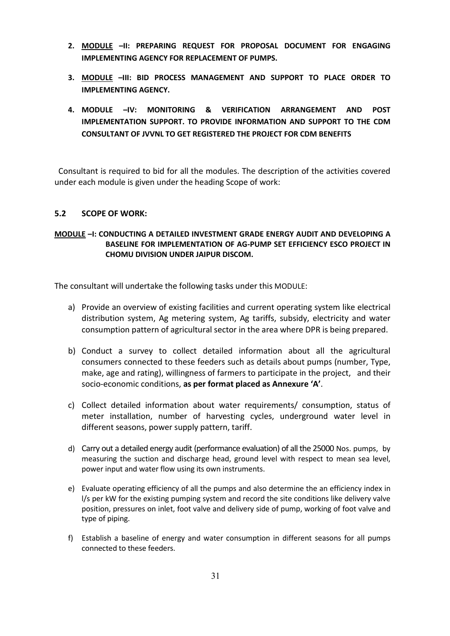- 2. MODULE –II: PREPARING REQUEST FOR PROPOSAL DOCUMENT FOR ENGAGING IMPLEMENTING AGENCY FOR REPLACEMENT OF PUMPS.
- 3. MODULE –III: BID PROCESS MANAGEMENT AND SUPPORT TO PLACE ORDER TO IMPLEMENTING AGENCY.
- 4. MODULE –IV: MONITORING & VERIFICATION ARRANGEMENT AND POST IMPLEMENTATION SUPPORT. TO PROVIDE INFORMATION AND SUPPORT TO THE CDM CONSULTANT OF JVVNL TO GET REGISTERED THE PROJECT FOR CDM BENEFITS

 Consultant is required to bid for all the modules. The description of the activities covered under each module is given under the heading Scope of work:

#### 5.2 SCOPE OF WORK:

#### MODULE –I: CONDUCTING A DETAILED INVESTMENT GRADE ENERGY AUDIT AND DEVELOPING A BASELINE FOR IMPLEMENTATION OF AG-PUMP SET EFFICIENCY ESCO PROJECT IN CHOMU DIVISION UNDER JAIPUR DISCOM.

The consultant will undertake the following tasks under this MODULE:

- a) Provide an overview of existing facilities and current operating system like electrical distribution system, Ag metering system, Ag tariffs, subsidy, electricity and water consumption pattern of agricultural sector in the area where DPR is being prepared.
- b) Conduct a survey to collect detailed information about all the agricultural consumers connected to these feeders such as details about pumps (number, Type, make, age and rating), willingness of farmers to participate in the project, and their socio-economic conditions, as per format placed as Annexure 'A'.
- c) Collect detailed information about water requirements/ consumption, status of meter installation, number of harvesting cycles, underground water level in different seasons, power supply pattern, tariff.
- d) Carry out a detailed energy audit (performance evaluation) of all the 25000 Nos. pumps, by measuring the suction and discharge head, ground level with respect to mean sea level, power input and water flow using its own instruments.
- e) Evaluate operating efficiency of all the pumps and also determine the an efficiency index in l/s per kW for the existing pumping system and record the site conditions like delivery valve position, pressures on inlet, foot valve and delivery side of pump, working of foot valve and type of piping.
- f) Establish a baseline of energy and water consumption in different seasons for all pumps connected to these feeders.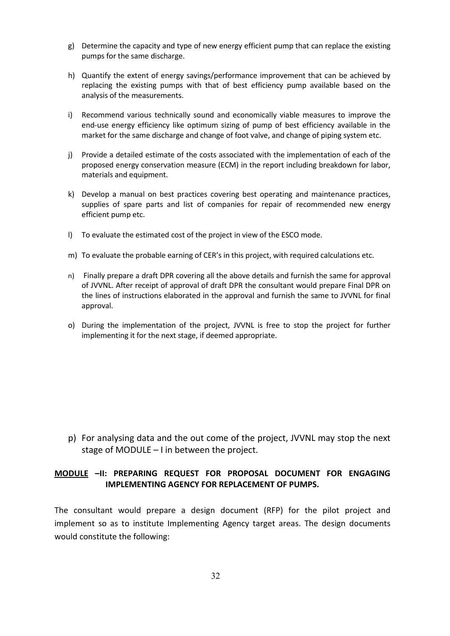- g) Determine the capacity and type of new energy efficient pump that can replace the existing pumps for the same discharge.
- h) Quantify the extent of energy savings/performance improvement that can be achieved by replacing the existing pumps with that of best efficiency pump available based on the analysis of the measurements.
- i) Recommend various technically sound and economically viable measures to improve the end-use energy efficiency like optimum sizing of pump of best efficiency available in the market for the same discharge and change of foot valve, and change of piping system etc.
- j) Provide a detailed estimate of the costs associated with the implementation of each of the proposed energy conservation measure (ECM) in the report including breakdown for labor, materials and equipment.
- k) Develop a manual on best practices covering best operating and maintenance practices, supplies of spare parts and list of companies for repair of recommended new energy efficient pump etc.
- l) To evaluate the estimated cost of the project in view of the ESCO mode.
- m) To evaluate the probable earning of CER's in this project, with required calculations etc.
- n) Finally prepare a draft DPR covering all the above details and furnish the same for approval of JVVNL. After receipt of approval of draft DPR the consultant would prepare Final DPR on the lines of instructions elaborated in the approval and furnish the same to JVVNL for final approval.
- o) During the implementation of the project, JVVNL is free to stop the project for further implementing it for the next stage, if deemed appropriate.

p) For analysing data and the out come of the project, JVVNL may stop the next stage of MODULE – I in between the project.

### MODULE –II: PREPARING REQUEST FOR PROPOSAL DOCUMENT FOR ENGAGING IMPLEMENTING AGENCY FOR REPLACEMENT OF PUMPS.

The consultant would prepare a design document (RFP) for the pilot project and implement so as to institute Implementing Agency target areas. The design documents would constitute the following: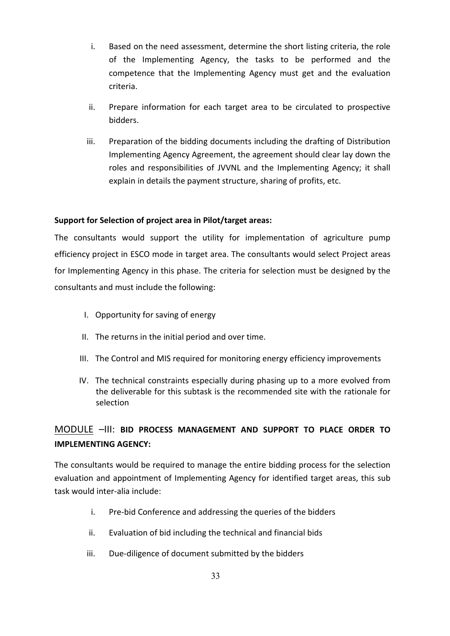- i. Based on the need assessment, determine the short listing criteria, the role of the Implementing Agency, the tasks to be performed and the competence that the Implementing Agency must get and the evaluation criteria.
- ii. Prepare information for each target area to be circulated to prospective bidders.
- iii. Preparation of the bidding documents including the drafting of Distribution Implementing Agency Agreement, the agreement should clear lay down the roles and responsibilities of JVVNL and the Implementing Agency; it shall explain in details the payment structure, sharing of profits, etc.

### Support for Selection of project area in Pilot/target areas:

The consultants would support the utility for implementation of agriculture pump efficiency project in ESCO mode in target area. The consultants would select Project areas for Implementing Agency in this phase. The criteria for selection must be designed by the consultants and must include the following:

- I. Opportunity for saving of energy
- II. The returns in the initial period and over time.
- III. The Control and MIS required for monitoring energy efficiency improvements
- IV. The technical constraints especially during phasing up to a more evolved from the deliverable for this subtask is the recommended site with the rationale for selection

# MODULE –III: BID PROCESS MANAGEMENT AND SUPPORT TO PLACE ORDER TO IMPLEMENTING AGENCY:

The consultants would be required to manage the entire bidding process for the selection evaluation and appointment of Implementing Agency for identified target areas, this sub task would inter-alia include:

- i. Pre-bid Conference and addressing the queries of the bidders
- ii. Evaluation of bid including the technical and financial bids
- iii. Due-diligence of document submitted by the bidders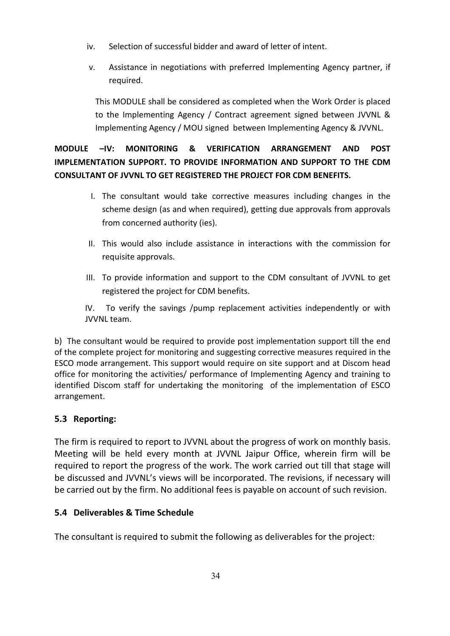- iv. Selection of successful bidder and award of letter of intent.
- v. Assistance in negotiations with preferred Implementing Agency partner, if required.

This MODULE shall be considered as completed when the Work Order is placed to the Implementing Agency / Contract agreement signed between JVVNL & Implementing Agency / MOU signed between Implementing Agency & JVVNL.

MODULE –IV: MONITORING & VERIFICATION ARRANGEMENT AND POST IMPLEMENTATION SUPPORT. TO PROVIDE INFORMATION AND SUPPORT TO THE CDM CONSULTANT OF JVVNL TO GET REGISTERED THE PROJECT FOR CDM BENEFITS.

- I. The consultant would take corrective measures including changes in the scheme design (as and when required), getting due approvals from approvals from concerned authority (ies).
- II. This would also include assistance in interactions with the commission for requisite approvals.
- III. To provide information and support to the CDM consultant of JVVNL to get registered the project for CDM benefits.

IV. To verify the savings /pump replacement activities independently or with JVVNL team.

b) The consultant would be required to provide post implementation support till the end of the complete project for monitoring and suggesting corrective measures required in the ESCO mode arrangement. This support would require on site support and at Discom head office for monitoring the activities/ performance of Implementing Agency and training to identified Discom staff for undertaking the monitoring of the implementation of ESCO arrangement.

# 5.3 Reporting:

The firm is required to report to JVVNL about the progress of work on monthly basis. Meeting will be held every month at JVVNL Jaipur Office, wherein firm will be required to report the progress of the work. The work carried out till that stage will be discussed and JVVNL's views will be incorporated. The revisions, if necessary will be carried out by the firm. No additional fees is payable on account of such revision.

# 5.4 Deliverables & Time Schedule

The consultant is required to submit the following as deliverables for the project: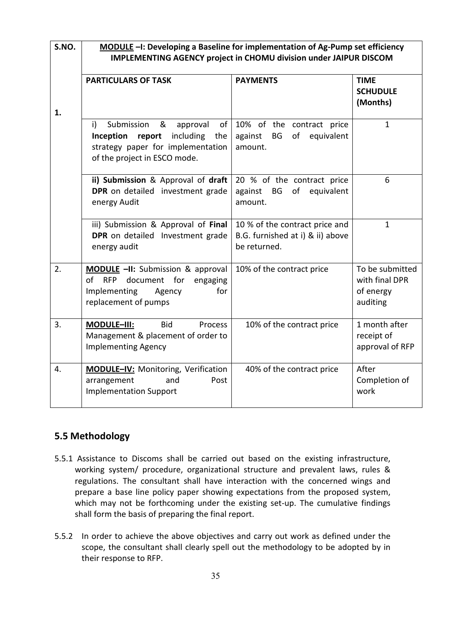| S.NO. | MODULE -I: Developing a Baseline for implementation of Ag-Pump set efficiency<br>IMPLEMENTING AGENCY project in CHOMU division under JAIPUR DISCOM      |                                                                                    |                                                            |  |  |  |
|-------|---------------------------------------------------------------------------------------------------------------------------------------------------------|------------------------------------------------------------------------------------|------------------------------------------------------------|--|--|--|
| 1.    | <b>PARTICULARS OF TASK</b>                                                                                                                              | <b>PAYMENTS</b>                                                                    | <b>TIME</b><br><b>SCHUDULE</b><br>(Months)                 |  |  |  |
|       | Submission<br>&<br>of<br>i)<br>approval<br>including<br>Inception<br>the<br>report<br>strategy paper for implementation<br>of the project in ESCO mode. | 10% of the contract price<br>BG<br>of<br>equivalent<br>against<br>amount.          | $\mathbf{1}$                                               |  |  |  |
|       | ii) Submission & Approval of draft<br>DPR on detailed investment grade<br>energy Audit                                                                  | 20 % of the contract price<br>of<br>BG<br>equivalent<br>against<br>amount.         | 6                                                          |  |  |  |
|       | iii) Submission & Approval of Final<br>DPR on detailed Investment grade<br>energy audit                                                                 | 10 % of the contract price and<br>B.G. furnished at i) & ii) above<br>be returned. | $\mathbf{1}$                                               |  |  |  |
| 2.    | <b>MODULE -II:</b> Submission & approval<br>of RFP<br>document<br>for<br>engaging<br>Implementing<br>Agency<br>for<br>replacement of pumps              | 10% of the contract price                                                          | To be submitted<br>with final DPR<br>of energy<br>auditing |  |  |  |
| 3.    | <b>Bid</b><br>MODULE-III:<br>Process<br>Management & placement of order to<br><b>Implementing Agency</b>                                                | 10% of the contract price                                                          | 1 month after<br>receipt of<br>approval of RFP             |  |  |  |
| 4.    | <b>MODULE-IV:</b> Monitoring, Verification<br>arrangement<br>and<br>Post<br><b>Implementation Support</b>                                               | 40% of the contract price                                                          | After<br>Completion of<br>work                             |  |  |  |

# 5.5 Methodology

- 5.5.1 Assistance to Discoms shall be carried out based on the existing infrastructure, working system/ procedure, organizational structure and prevalent laws, rules & regulations. The consultant shall have interaction with the concerned wings and prepare a base line policy paper showing expectations from the proposed system, which may not be forthcoming under the existing set-up. The cumulative findings shall form the basis of preparing the final report.
- 5.5.2 In order to achieve the above objectives and carry out work as defined under the scope, the consultant shall clearly spell out the methodology to be adopted by in their response to RFP.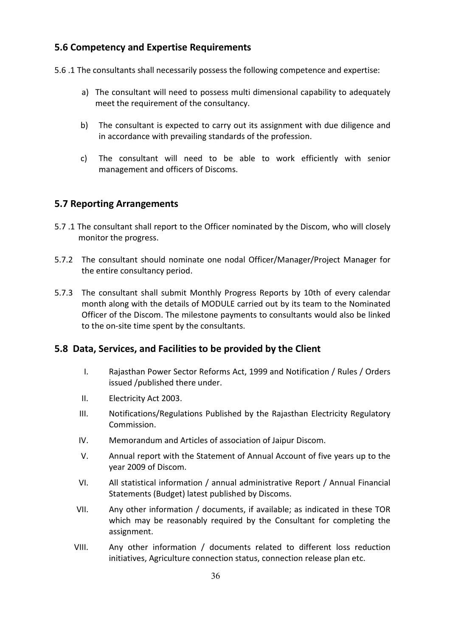# 5.6 Competency and Expertise Requirements

- 5.6 .1 The consultants shall necessarily possess the following competence and expertise:
	- a) The consultant will need to possess multi dimensional capability to adequately meet the requirement of the consultancy.
	- b) The consultant is expected to carry out its assignment with due diligence and in accordance with prevailing standards of the profession.
	- c) The consultant will need to be able to work efficiently with senior management and officers of Discoms.

# 5.7 Reporting Arrangements

- 5.7 .1 The consultant shall report to the Officer nominated by the Discom, who will closely monitor the progress.
- 5.7.2 The consultant should nominate one nodal Officer/Manager/Project Manager for the entire consultancy period.
- 5.7.3 The consultant shall submit Monthly Progress Reports by 10th of every calendar month along with the details of MODULE carried out by its team to the Nominated Officer of the Discom. The milestone payments to consultants would also be linked to the on-site time spent by the consultants.

# 5.8 Data, Services, and Facilities to be provided by the Client

- I. Rajasthan Power Sector Reforms Act, 1999 and Notification / Rules / Orders issued /published there under.
- II. Electricity Act 2003.
- III. Notifications/Regulations Published by the Rajasthan Electricity Regulatory Commission.
- IV. Memorandum and Articles of association of Jaipur Discom.
- V. Annual report with the Statement of Annual Account of five years up to the year 2009 of Discom.
- VI. All statistical information / annual administrative Report / Annual Financial Statements (Budget) latest published by Discoms.
- VII. Any other information / documents, if available; as indicated in these TOR which may be reasonably required by the Consultant for completing the assignment.
- VIII. Any other information / documents related to different loss reduction initiatives, Agriculture connection status, connection release plan etc.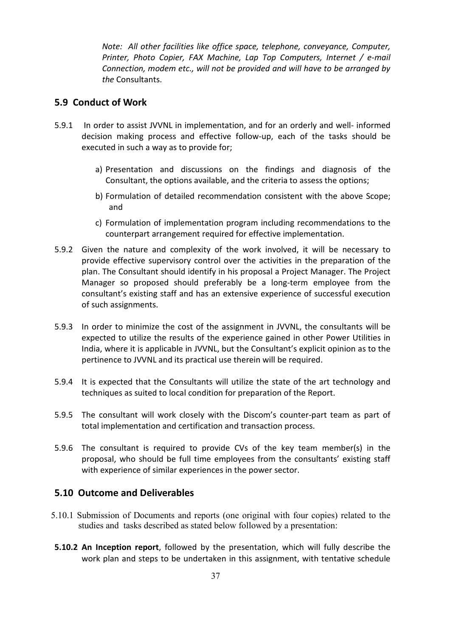Note: All other facilities like office space, telephone, conveyance, Computer, Printer, Photo Copier, FAX Machine, Lap Top Computers, Internet / e-mail Connection, modem etc., will not be provided and will have to be arranged by the Consultants.

# 5.9 Conduct of Work

- 5.9.1 In order to assist JVVNL in implementation, and for an orderly and well- informed decision making process and effective follow-up, each of the tasks should be executed in such a way as to provide for;
	- a) Presentation and discussions on the findings and diagnosis of the Consultant, the options available, and the criteria to assess the options;
	- b) Formulation of detailed recommendation consistent with the above Scope; and
	- c) Formulation of implementation program including recommendations to the counterpart arrangement required for effective implementation.
- 5.9.2 Given the nature and complexity of the work involved, it will be necessary to provide effective supervisory control over the activities in the preparation of the plan. The Consultant should identify in his proposal a Project Manager. The Project Manager so proposed should preferably be a long-term employee from the consultant's existing staff and has an extensive experience of successful execution of such assignments.
- 5.9.3 In order to minimize the cost of the assignment in JVVNL, the consultants will be expected to utilize the results of the experience gained in other Power Utilities in India, where it is applicable in JVVNL, but the Consultant's explicit opinion as to the pertinence to JVVNL and its practical use therein will be required.
- 5.9.4 It is expected that the Consultants will utilize the state of the art technology and techniques as suited to local condition for preparation of the Report.
- 5.9.5 The consultant will work closely with the Discom's counter-part team as part of total implementation and certification and transaction process.
- 5.9.6 The consultant is required to provide CVs of the key team member(s) in the proposal, who should be full time employees from the consultants' existing staff with experience of similar experiences in the power sector.

# 5.10 Outcome and Deliverables

- 5.10.1 Submission of Documents and reports (one original with four copies) related to the studies and tasks described as stated below followed by a presentation:
- **5.10.2 An Inception report**, followed by the presentation, which will fully describe the work plan and steps to be undertaken in this assignment, with tentative schedule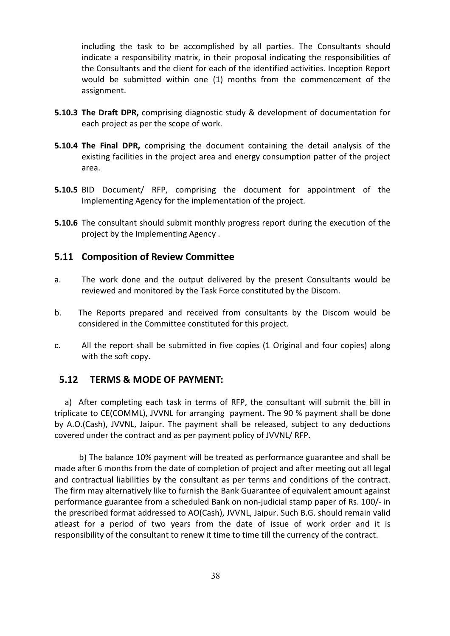including the task to be accomplished by all parties. The Consultants should indicate a responsibility matrix, in their proposal indicating the responsibilities of the Consultants and the client for each of the identified activities. Inception Report would be submitted within one (1) months from the commencement of the assignment.

- 5.10.3 The Draft DPR, comprising diagnostic study & development of documentation for each project as per the scope of work.
- 5.10.4 The Final DPR, comprising the document containing the detail analysis of the existing facilities in the project area and energy consumption patter of the project area.
- 5.10.5 BID Document/ RFP, comprising the document for appointment of the Implementing Agency for the implementation of the project.
- 5.10.6 The consultant should submit monthly progress report during the execution of the project by the Implementing Agency .

### 5.11 Composition of Review Committee

- a. The work done and the output delivered by the present Consultants would be reviewed and monitored by the Task Force constituted by the Discom.
- b. The Reports prepared and received from consultants by the Discom would be considered in the Committee constituted for this project.
- c. All the report shall be submitted in five copies (1 Original and four copies) along with the soft copy.

#### 5.12 TERMS & MODE OF PAYMENT:

 a) After completing each task in terms of RFP, the consultant will submit the bill in triplicate to CE(COMML), JVVNL for arranging payment. The 90 % payment shall be done by A.O.(Cash), JVVNL, Jaipur. The payment shall be released, subject to any deductions covered under the contract and as per payment policy of JVVNL/ RFP.

 b) The balance 10% payment will be treated as performance guarantee and shall be made after 6 months from the date of completion of project and after meeting out all legal and contractual liabilities by the consultant as per terms and conditions of the contract. The firm may alternatively like to furnish the Bank Guarantee of equivalent amount against performance guarantee from a scheduled Bank on non-judicial stamp paper of Rs. 100/- in the prescribed format addressed to AO(Cash), JVVNL, Jaipur. Such B.G. should remain valid atleast for a period of two years from the date of issue of work order and it is responsibility of the consultant to renew it time to time till the currency of the contract.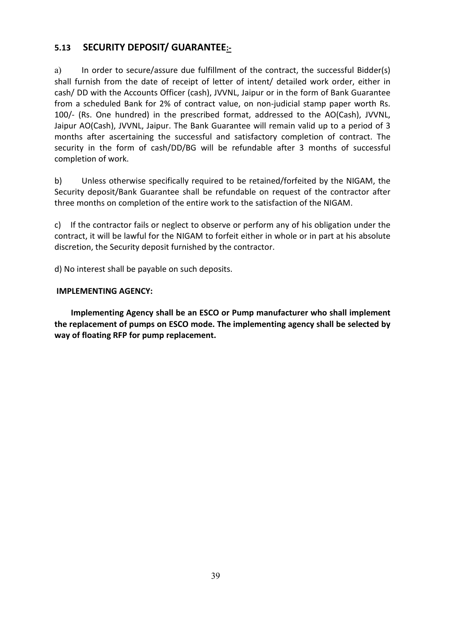# 5.13 SECURITY DEPOSIT/ GUARANTEE:-

a) In order to secure/assure due fulfillment of the contract, the successful Bidder(s) shall furnish from the date of receipt of letter of intent/ detailed work order, either in cash/ DD with the Accounts Officer (cash), JVVNL, Jaipur or in the form of Bank Guarantee from a scheduled Bank for 2% of contract value, on non-judicial stamp paper worth Rs. 100/- (Rs. One hundred) in the prescribed format, addressed to the AO(Cash), JVVNL, Jaipur AO(Cash), JVVNL, Jaipur. The Bank Guarantee will remain valid up to a period of 3 months after ascertaining the successful and satisfactory completion of contract. The security in the form of cash/DD/BG will be refundable after 3 months of successful completion of work.

b) Unless otherwise specifically required to be retained/forfeited by the NIGAM, the Security deposit/Bank Guarantee shall be refundable on request of the contractor after three months on completion of the entire work to the satisfaction of the NIGAM.

c) If the contractor fails or neglect to observe or perform any of his obligation under the contract, it will be lawful for the NIGAM to forfeit either in whole or in part at his absolute discretion, the Security deposit furnished by the contractor.

d) No interest shall be payable on such deposits.

### IMPLEMENTING AGENCY:

 Implementing Agency shall be an ESCO or Pump manufacturer who shall implement the replacement of pumps on ESCO mode. The implementing agency shall be selected by way of floating RFP for pump replacement.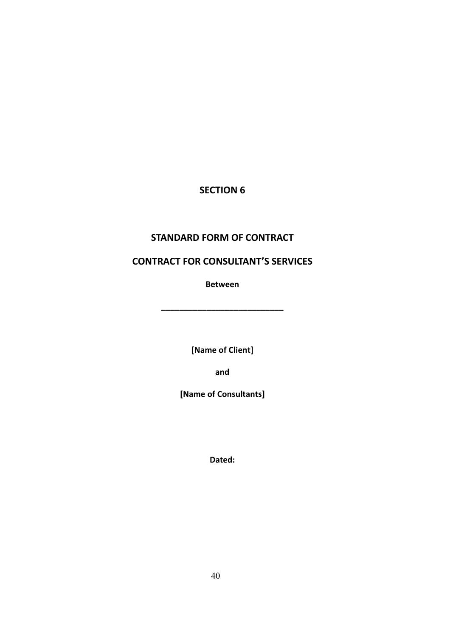# SECTION 6

# STANDARD FORM OF CONTRACT

# CONTRACT FOR CONSULTANT'S SERVICES

#### Between

\_\_\_\_\_\_\_\_\_\_\_\_\_\_\_\_\_\_\_\_\_\_\_\_\_\_\_

[Name of Client]

and

[Name of Consultants]

Dated: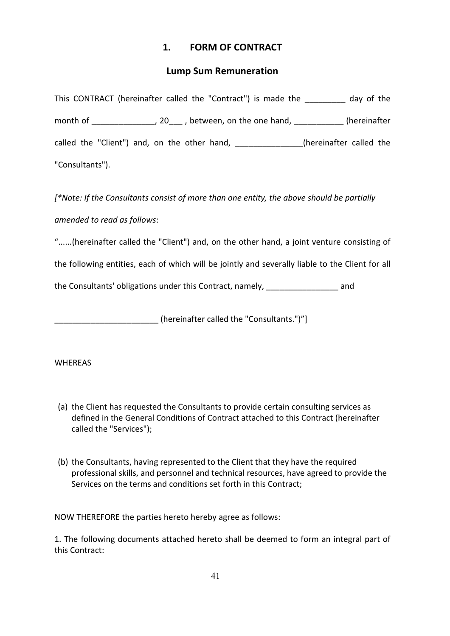# 1. FORM OF CONTRACT

# Lump Sum Remuneration

|                 | This CONTRACT (hereinafter called the "Contract") is made the      | day of the              |
|-----------------|--------------------------------------------------------------------|-------------------------|
|                 | month of $\qquad \qquad$ , 20 $\qquad$ , between, on the one hand, | (hereinafter            |
|                 | called the "Client") and, on the other hand,                       | (hereinafter called the |
| "Consultants"). |                                                                    |                         |

[\*Note: If the Consultants consist of more than one entity, the above should be partially amended to read as follows:

"......(hereinafter called the "Client") and, on the other hand, a joint venture consisting of the following entities, each of which will be jointly and severally liable to the Client for all the Consultants' obligations under this Contract, namely, \_\_\_\_\_\_\_\_\_\_\_\_\_\_\_\_ and

\_\_\_\_\_\_\_\_\_\_\_\_\_\_\_\_\_\_\_\_\_\_\_ (hereinafter called the "Consultants.")"]

#### WHEREAS

- (a) the Client has requested the Consultants to provide certain consulting services as defined in the General Conditions of Contract attached to this Contract (hereinafter called the "Services");
- (b) the Consultants, having represented to the Client that they have the required professional skills, and personnel and technical resources, have agreed to provide the Services on the terms and conditions set forth in this Contract;

NOW THEREFORE the parties hereto hereby agree as follows:

1. The following documents attached hereto shall be deemed to form an integral part of this Contract: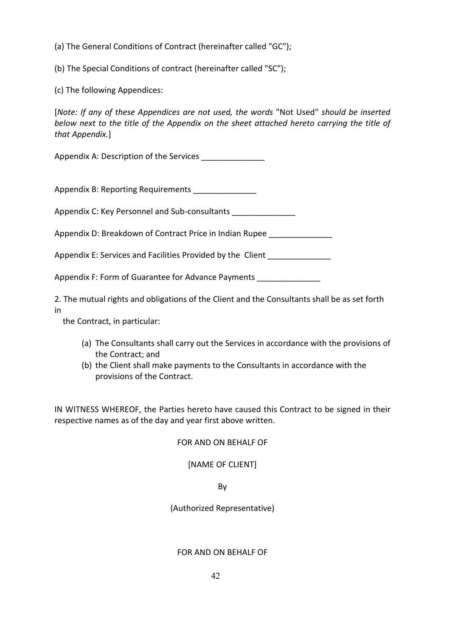(a) The General Conditions of Contract (hereinafter called "GC");

(b) The Special Conditions of contract (hereinafter called "SC");

(c) The following Appendices:

[Note: If any of these Appendices are not used, the words "Not Used" should be inserted below next to the title of the Appendix on the sheet attached hereto carrying the title of that Appendix.]

Appendix A: Description of the Services \_\_\_\_\_\_\_\_\_\_\_\_\_\_

Appendix B: Reporting Requirements \_\_\_\_\_\_\_\_\_\_\_\_\_

Appendix C: Key Personnel and Sub-consultants

Appendix D: Breakdown of Contract Price in Indian Rupee \_\_\_\_\_\_\_\_

Appendix E: Services and Facilities Provided by the Client

Appendix F: Form of Guarantee for Advance Payments

2. The mutual rights and obligations of the Client and the Consultants shall be as set forth in

the Contract, in particular:

- (a) The Consultants shall carry out the Services in accordance with the provisions of the Contract; and
- (b) the Client shall make payments to the Consultants in accordance with the provisions of the Contract.

IN WITNESS WHEREOF, the Parties hereto have caused this Contract to be signed in their respective names as of the day and year first above written.

FOR AND ON BEHALF OF

[NAME OF CLIENT]

#### By

(Authorized Representative)

FOR AND ON BEHALF OF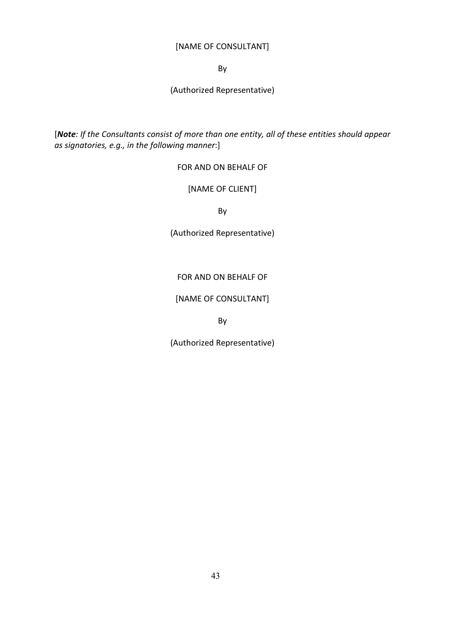#### [NAME OF CONSULTANT]

By

(Authorized Representative)

[Note: If the Consultants consist of more than one entity, all of these entities should appear as signatories, e.g., in the following manner:]

#### FOR AND ON BEHALF OF

#### [NAME OF CLIENT]

By

(Authorized Representative)

### FOR AND ON BEHALF OF

# [NAME OF CONSULTANT]

By

(Authorized Representative)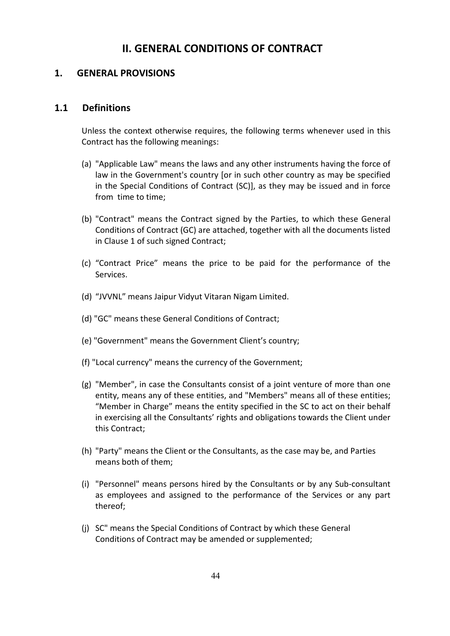# II. GENERAL CONDITIONS OF CONTRACT

## 1. GENERAL PROVISIONS

#### 1.1 Definitions

Unless the context otherwise requires, the following terms whenever used in this Contract has the following meanings:

- (a) "Applicable Law" means the laws and any other instruments having the force of law in the Government's country [or in such other country as may be specified in the Special Conditions of Contract (SC)], as they may be issued and in force from time to time;
- (b) "Contract" means the Contract signed by the Parties, to which these General Conditions of Contract (GC) are attached, together with all the documents listed in Clause 1 of such signed Contract;
- (c) "Contract Price" means the price to be paid for the performance of the Services.
- (d) "JVVNL" means Jaipur Vidyut Vitaran Nigam Limited.
- (d) "GC" means these General Conditions of Contract;
- (e) "Government" means the Government Client's country;
- (f) "Local currency" means the currency of the Government;
- (g) "Member", in case the Consultants consist of a joint venture of more than one entity, means any of these entities, and "Members" means all of these entities; "Member in Charge" means the entity specified in the SC to act on their behalf in exercising all the Consultants' rights and obligations towards the Client under this Contract;
- (h) "Party" means the Client or the Consultants, as the case may be, and Parties means both of them;
- (i) "Personnel" means persons hired by the Consultants or by any Sub-consultant as employees and assigned to the performance of the Services or any part thereof;
- (j) SC" means the Special Conditions of Contract by which these General Conditions of Contract may be amended or supplemented;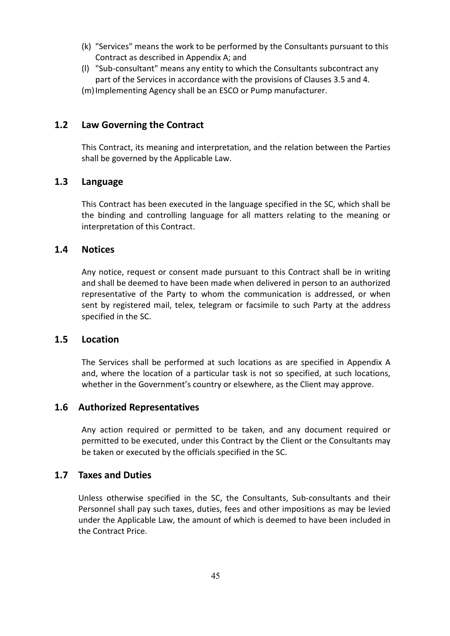- (k) "Services" means the work to be performed by the Consultants pursuant to this Contract as described in Appendix A; and
- (l) "Sub-consultant" means any entity to which the Consultants subcontract any part of the Services in accordance with the provisions of Clauses 3.5 and 4.
- (m)Implementing Agency shall be an ESCO or Pump manufacturer.

# 1.2 Law Governing the Contract

This Contract, its meaning and interpretation, and the relation between the Parties shall be governed by the Applicable Law.

# 1.3 Language

This Contract has been executed in the language specified in the SC, which shall be the binding and controlling language for all matters relating to the meaning or interpretation of this Contract.

### 1.4 Notices

Any notice, request or consent made pursuant to this Contract shall be in writing and shall be deemed to have been made when delivered in person to an authorized representative of the Party to whom the communication is addressed, or when sent by registered mail, telex, telegram or facsimile to such Party at the address specified in the SC.

# 1.5 Location

The Services shall be performed at such locations as are specified in Appendix A and, where the location of a particular task is not so specified, at such locations, whether in the Government's country or elsewhere, as the Client may approve.

# 1.6 Authorized Representatives

Any action required or permitted to be taken, and any document required or permitted to be executed, under this Contract by the Client or the Consultants may be taken or executed by the officials specified in the SC.

# 1.7 Taxes and Duties

Unless otherwise specified in the SC, the Consultants, Sub-consultants and their Personnel shall pay such taxes, duties, fees and other impositions as may be levied under the Applicable Law, the amount of which is deemed to have been included in the Contract Price.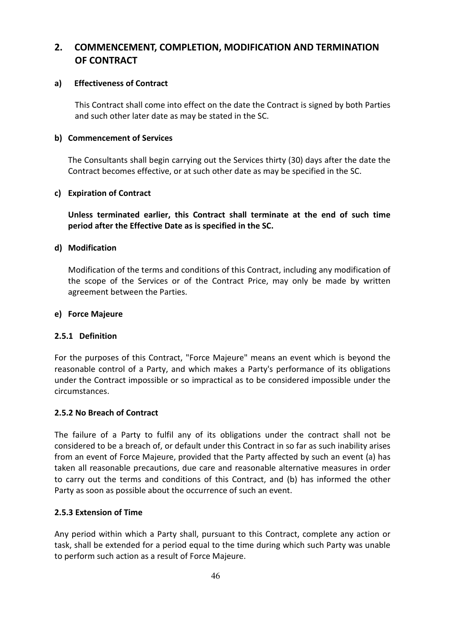# 2. COMMENCEMENT, COMPLETION, MODIFICATION AND TERMINATION OF CONTRACT

### a) Effectiveness of Contract

This Contract shall come into effect on the date the Contract is signed by both Parties and such other later date as may be stated in the SC.

### b) Commencement of Services

The Consultants shall begin carrying out the Services thirty (30) days after the date the Contract becomes effective, or at such other date as may be specified in the SC.

### c) Expiration of Contract

Unless terminated earlier, this Contract shall terminate at the end of such time period after the Effective Date as is specified in the SC.

### d) Modification

Modification of the terms and conditions of this Contract, including any modification of the scope of the Services or of the Contract Price, may only be made by written agreement between the Parties.

### e) Force Majeure

#### 2.5.1 Definition

For the purposes of this Contract, "Force Majeure" means an event which is beyond the reasonable control of a Party, and which makes a Party's performance of its obligations under the Contract impossible or so impractical as to be considered impossible under the circumstances.

#### 2.5.2 No Breach of Contract

The failure of a Party to fulfil any of its obligations under the contract shall not be considered to be a breach of, or default under this Contract in so far as such inability arises from an event of Force Majeure, provided that the Party affected by such an event (a) has taken all reasonable precautions, due care and reasonable alternative measures in order to carry out the terms and conditions of this Contract, and (b) has informed the other Party as soon as possible about the occurrence of such an event.

#### 2.5.3 Extension of Time

Any period within which a Party shall, pursuant to this Contract, complete any action or task, shall be extended for a period equal to the time during which such Party was unable to perform such action as a result of Force Majeure.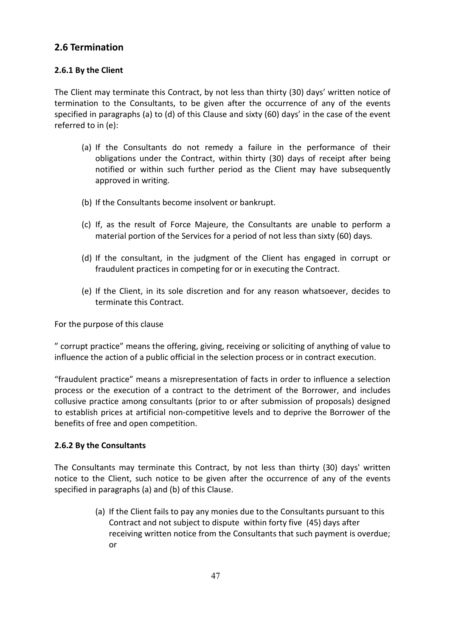# 2.6 Termination

# 2.6.1 By the Client

The Client may terminate this Contract, by not less than thirty (30) days' written notice of termination to the Consultants, to be given after the occurrence of any of the events specified in paragraphs (a) to (d) of this Clause and sixty (60) days' in the case of the event referred to in (e):

- (a) If the Consultants do not remedy a failure in the performance of their obligations under the Contract, within thirty (30) days of receipt after being notified or within such further period as the Client may have subsequently approved in writing.
- (b) If the Consultants become insolvent or bankrupt.
- (c) If, as the result of Force Majeure, the Consultants are unable to perform a material portion of the Services for a period of not less than sixty (60) days.
- (d) If the consultant, in the judgment of the Client has engaged in corrupt or fraudulent practices in competing for or in executing the Contract.
- (e) If the Client, in its sole discretion and for any reason whatsoever, decides to terminate this Contract.

For the purpose of this clause

" corrupt practice" means the offering, giving, receiving or soliciting of anything of value to influence the action of a public official in the selection process or in contract execution.

"fraudulent practice" means a misrepresentation of facts in order to influence a selection process or the execution of a contract to the detriment of the Borrower, and includes collusive practice among consultants (prior to or after submission of proposals) designed to establish prices at artificial non-competitive levels and to deprive the Borrower of the benefits of free and open competition.

# 2.6.2 By the Consultants

The Consultants may terminate this Contract, by not less than thirty (30) days' written notice to the Client, such notice to be given after the occurrence of any of the events specified in paragraphs (a) and (b) of this Clause.

> (a) If the Client fails to pay any monies due to the Consultants pursuant to this Contract and not subject to dispute within forty five (45) days after receiving written notice from the Consultants that such payment is overdue; or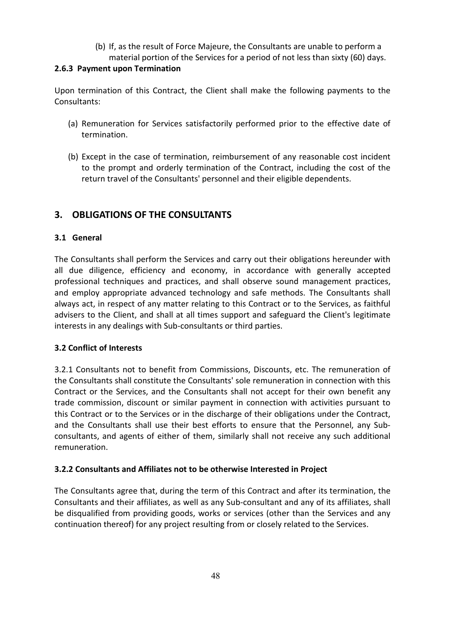(b) If, as the result of Force Majeure, the Consultants are unable to perform a material portion of the Services for a period of not less than sixty (60) days.

# 2.6.3 Payment upon Termination

Upon termination of this Contract, the Client shall make the following payments to the Consultants:

- (a) Remuneration for Services satisfactorily performed prior to the effective date of termination.
- (b) Except in the case of termination, reimbursement of any reasonable cost incident to the prompt and orderly termination of the Contract, including the cost of the return travel of the Consultants' personnel and their eligible dependents.

# 3. OBLIGATIONS OF THE CONSULTANTS

# 3.1 General

The Consultants shall perform the Services and carry out their obligations hereunder with all due diligence, efficiency and economy, in accordance with generally accepted professional techniques and practices, and shall observe sound management practices, and employ appropriate advanced technology and safe methods. The Consultants shall always act, in respect of any matter relating to this Contract or to the Services, as faithful advisers to the Client, and shall at all times support and safeguard the Client's legitimate interests in any dealings with Sub-consultants or third parties.

#### 3.2 Conflict of Interests

3.2.1 Consultants not to benefit from Commissions, Discounts, etc. The remuneration of the Consultants shall constitute the Consultants' sole remuneration in connection with this Contract or the Services, and the Consultants shall not accept for their own benefit any trade commission, discount or similar payment in connection with activities pursuant to this Contract or to the Services or in the discharge of their obligations under the Contract, and the Consultants shall use their best efforts to ensure that the Personnel, any Subconsultants, and agents of either of them, similarly shall not receive any such additional remuneration.

# 3.2.2 Consultants and Affiliates not to be otherwise Interested in Project

The Consultants agree that, during the term of this Contract and after its termination, the Consultants and their affiliates, as well as any Sub-consultant and any of its affiliates, shall be disqualified from providing goods, works or services (other than the Services and any continuation thereof) for any project resulting from or closely related to the Services.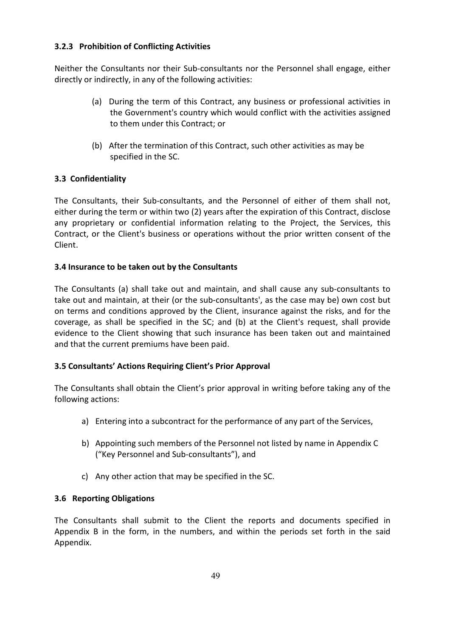## 3.2.3 Prohibition of Conflicting Activities

Neither the Consultants nor their Sub-consultants nor the Personnel shall engage, either directly or indirectly, in any of the following activities:

- (a) During the term of this Contract, any business or professional activities in the Government's country which would conflict with the activities assigned to them under this Contract; or
- (b) After the termination of this Contract, such other activities as may be specified in the SC.

### 3.3 Confidentiality

The Consultants, their Sub-consultants, and the Personnel of either of them shall not, either during the term or within two (2) years after the expiration of this Contract, disclose any proprietary or confidential information relating to the Project, the Services, this Contract, or the Client's business or operations without the prior written consent of the Client.

#### 3.4 Insurance to be taken out by the Consultants

The Consultants (a) shall take out and maintain, and shall cause any sub-consultants to take out and maintain, at their (or the sub-consultants', as the case may be) own cost but on terms and conditions approved by the Client, insurance against the risks, and for the coverage, as shall be specified in the SC; and (b) at the Client's request, shall provide evidence to the Client showing that such insurance has been taken out and maintained and that the current premiums have been paid.

# 3.5 Consultants' Actions Requiring Client's Prior Approval

The Consultants shall obtain the Client's prior approval in writing before taking any of the following actions:

- a) Entering into a subcontract for the performance of any part of the Services,
- b) Appointing such members of the Personnel not listed by name in Appendix C ("Key Personnel and Sub-consultants"), and
- c) Any other action that may be specified in the SC.

#### 3.6 Reporting Obligations

The Consultants shall submit to the Client the reports and documents specified in Appendix B in the form, in the numbers, and within the periods set forth in the said Appendix.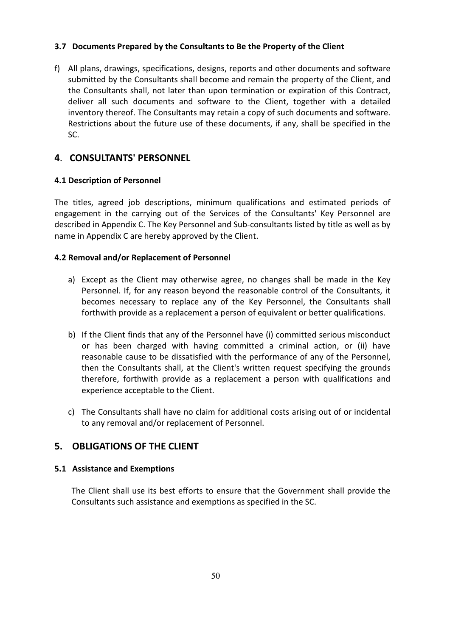### 3.7 Documents Prepared by the Consultants to Be the Property of the Client

f) All plans, drawings, specifications, designs, reports and other documents and software submitted by the Consultants shall become and remain the property of the Client, and the Consultants shall, not later than upon termination or expiration of this Contract, deliver all such documents and software to the Client, together with a detailed inventory thereof. The Consultants may retain a copy of such documents and software. Restrictions about the future use of these documents, if any, shall be specified in the SC.

# 4. CONSULTANTS' PERSONNEL

### 4.1 Description of Personnel

The titles, agreed job descriptions, minimum qualifications and estimated periods of engagement in the carrying out of the Services of the Consultants' Key Personnel are described in Appendix C. The Key Personnel and Sub-consultants listed by title as well as by name in Appendix C are hereby approved by the Client.

### 4.2 Removal and/or Replacement of Personnel

- a) Except as the Client may otherwise agree, no changes shall be made in the Key Personnel. If, for any reason beyond the reasonable control of the Consultants, it becomes necessary to replace any of the Key Personnel, the Consultants shall forthwith provide as a replacement a person of equivalent or better qualifications.
- b) If the Client finds that any of the Personnel have (i) committed serious misconduct or has been charged with having committed a criminal action, or (ii) have reasonable cause to be dissatisfied with the performance of any of the Personnel, then the Consultants shall, at the Client's written request specifying the grounds therefore, forthwith provide as a replacement a person with qualifications and experience acceptable to the Client.
- c) The Consultants shall have no claim for additional costs arising out of or incidental to any removal and/or replacement of Personnel.

# 5. OBLIGATIONS OF THE CLIENT

#### 5.1 Assistance and Exemptions

The Client shall use its best efforts to ensure that the Government shall provide the Consultants such assistance and exemptions as specified in the SC.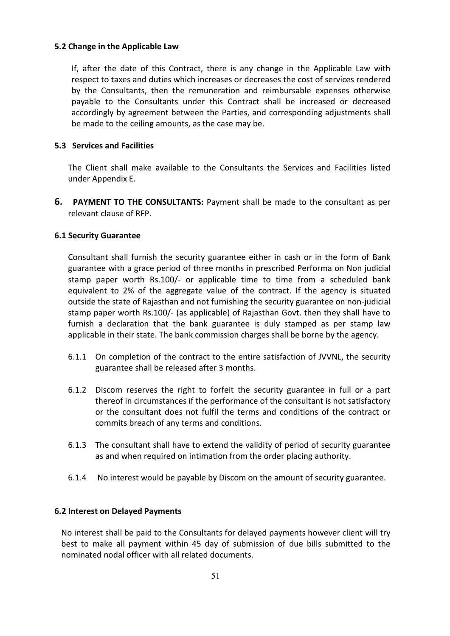#### 5.2 Change in the Applicable Law

If, after the date of this Contract, there is any change in the Applicable Law with respect to taxes and duties which increases or decreases the cost of services rendered by the Consultants, then the remuneration and reimbursable expenses otherwise payable to the Consultants under this Contract shall be increased or decreased accordingly by agreement between the Parties, and corresponding adjustments shall be made to the ceiling amounts, as the case may be.

# 5.3 Services and Facilities

The Client shall make available to the Consultants the Services and Facilities listed under Appendix E.

6. PAYMENT TO THE CONSULTANTS: Payment shall be made to the consultant as per relevant clause of RFP.

### 6.1 Security Guarantee

Consultant shall furnish the security guarantee either in cash or in the form of Bank guarantee with a grace period of three months in prescribed Performa on Non judicial stamp paper worth Rs.100/- or applicable time to time from a scheduled bank equivalent to 2% of the aggregate value of the contract. If the agency is situated outside the state of Rajasthan and not furnishing the security guarantee on non-judicial stamp paper worth Rs.100/- (as applicable) of Rajasthan Govt. then they shall have to furnish a declaration that the bank guarantee is duly stamped as per stamp law applicable in their state. The bank commission charges shall be borne by the agency.

- 6.1.1 On completion of the contract to the entire satisfaction of JVVNL, the security guarantee shall be released after 3 months.
- 6.1.2 Discom reserves the right to forfeit the security guarantee in full or a part thereof in circumstances if the performance of the consultant is not satisfactory or the consultant does not fulfil the terms and conditions of the contract or commits breach of any terms and conditions.
- 6.1.3 The consultant shall have to extend the validity of period of security guarantee as and when required on intimation from the order placing authority.
- 6.1.4 No interest would be payable by Discom on the amount of security guarantee.

#### 6.2 Interest on Delayed Payments

No interest shall be paid to the Consultants for delayed payments however client will try best to make all payment within 45 day of submission of due bills submitted to the nominated nodal officer with all related documents.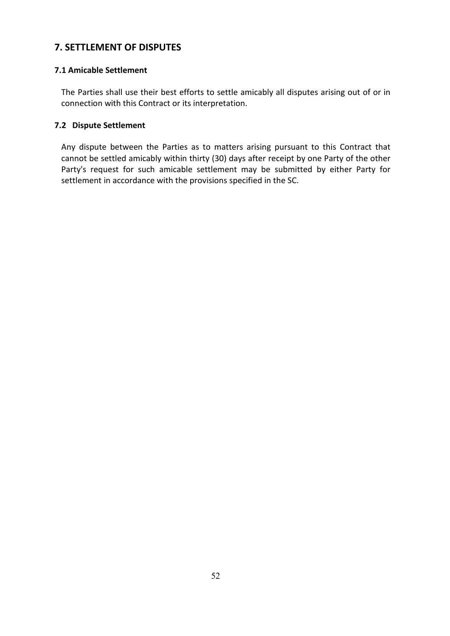# 7. SETTLEMENT OF DISPUTES

# 7.1 Amicable Settlement

The Parties shall use their best efforts to settle amicably all disputes arising out of or in connection with this Contract or its interpretation.

# 7.2 Dispute Settlement

Any dispute between the Parties as to matters arising pursuant to this Contract that cannot be settled amicably within thirty (30) days after receipt by one Party of the other Party's request for such amicable settlement may be submitted by either Party for settlement in accordance with the provisions specified in the SC.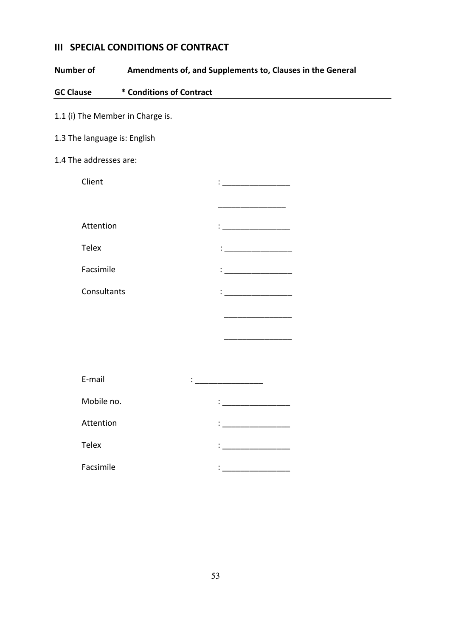# III SPECIAL CONDITIONS OF CONTRACT

| Amendments of, and Supplements to, Clauses in the General |  |  |
|-----------------------------------------------------------|--|--|
| * Conditions of Contract                                  |  |  |
| 1.1 (i) The Member in Charge is.                          |  |  |
| 1.3 The language is: English                              |  |  |
| 1.4 The addresses are:                                    |  |  |
|                                                           |  |  |
|                                                           |  |  |
|                                                           |  |  |
|                                                           |  |  |
|                                                           |  |  |
| Consultants                                               |  |  |
|                                                           |  |  |
|                                                           |  |  |
|                                                           |  |  |
|                                                           |  |  |
|                                                           |  |  |
|                                                           |  |  |
|                                                           |  |  |
|                                                           |  |  |
|                                                           |  |  |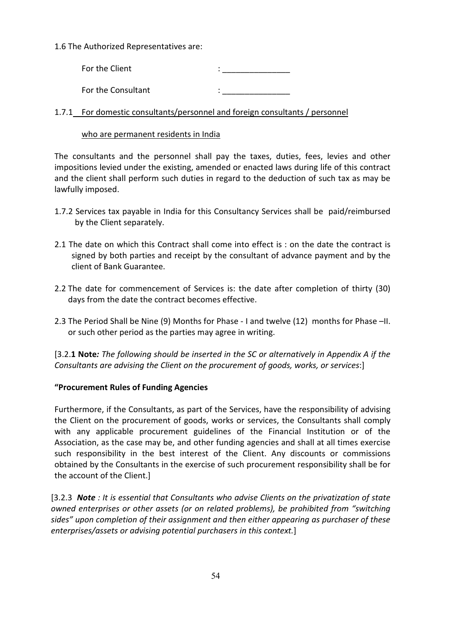## 1.6 The Authorized Representatives are:

For the Client  $\cdot$  .  $\cdot$  .  $\cdot$  .  $\cdot$  .  $\cdot$  .  $\cdot$  .  $\cdot$  .  $\cdot$  .  $\cdot$  .  $\cdot$  .  $\cdot$  .  $\cdot$  .  $\cdot$  .  $\cdot$  .  $\cdot$  .  $\cdot$  .  $\cdot$  .  $\cdot$  .  $\cdot$  .  $\cdot$  .  $\cdot$  .  $\cdot$  .  $\cdot$  .  $\cdot$  .  $\cdot$  .  $\cdot$  .  $\cdot$  .  $\cdot$  .  $\cdot$  .  $\cdot$ For the Consultant

# 1.7.1 For domestic consultants/personnel and foreign consultants / personnel

### who are permanent residents in India

The consultants and the personnel shall pay the taxes, duties, fees, levies and other impositions levied under the existing, amended or enacted laws during life of this contract and the client shall perform such duties in regard to the deduction of such tax as may be lawfully imposed.

- 1.7.2 Services tax payable in India for this Consultancy Services shall be paid/reimbursed by the Client separately.
- 2.1 The date on which this Contract shall come into effect is : on the date the contract is signed by both parties and receipt by the consultant of advance payment and by the client of Bank Guarantee.
- 2.2 The date for commencement of Services is: the date after completion of thirty (30) days from the date the contract becomes effective.
- 2.3 The Period Shall be Nine (9) Months for Phase I and twelve (12) months for Phase –II. or such other period as the parties may agree in writing.

[3.2.1 Note: The following should be inserted in the SC or alternatively in Appendix A if the Consultants are advising the Client on the procurement of goods, works, or services:]

# "Procurement Rules of Funding Agencies

Furthermore, if the Consultants, as part of the Services, have the responsibility of advising the Client on the procurement of goods, works or services, the Consultants shall comply with any applicable procurement guidelines of the Financial Institution or of the Association, as the case may be, and other funding agencies and shall at all times exercise such responsibility in the best interest of the Client. Any discounts or commissions obtained by the Consultants in the exercise of such procurement responsibility shall be for the account of the Client.]

[3.2.3 **Note** : It is essential that Consultants who advise Clients on the privatization of state owned enterprises or other assets (or on related problems), be prohibited from "switching sides" upon completion of their assignment and then either appearing as purchaser of these enterprises/assets or advising potential purchasers in this context.]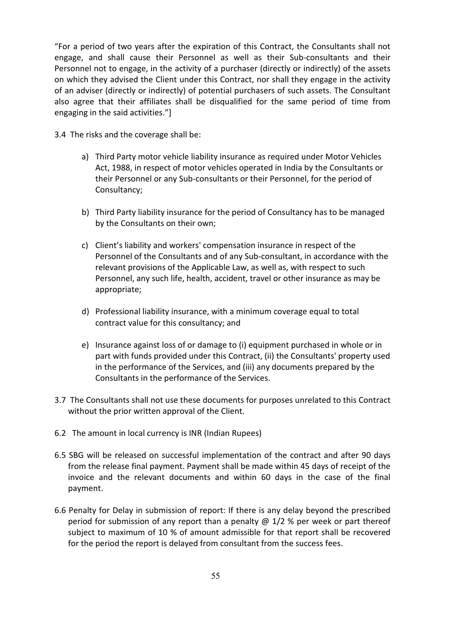"For a period of two years after the expiration of this Contract, the Consultants shall not engage, and shall cause their Personnel as well as their Sub-consultants and their Personnel not to engage, in the activity of a purchaser (directly or indirectly) of the assets on which they advised the Client under this Contract, nor shall they engage in the activity of an adviser (directly or indirectly) of potential purchasers of such assets. The Consultant also agree that their affiliates shall be disqualified for the same period of time from engaging in the said activities."]

3.4 The risks and the coverage shall be:

- a) Third Party motor vehicle liability insurance as required under Motor Vehicles Act, 1988, in respect of motor vehicles operated in India by the Consultants or their Personnel or any Sub-consultants or their Personnel, for the period of Consultancy;
- b) Third Party liability insurance for the period of Consultancy has to be managed by the Consultants on their own;
- c) Client's liability and workers' compensation insurance in respect of the Personnel of the Consultants and of any Sub-consultant, in accordance with the relevant provisions of the Applicable Law, as well as, with respect to such Personnel, any such life, health, accident, travel or other insurance as may be appropriate;
- d) Professional liability insurance, with a minimum coverage equal to total contract value for this consultancy; and
- e) Insurance against loss of or damage to (i) equipment purchased in whole or in part with funds provided under this Contract, (ii) the Consultants' property used in the performance of the Services, and (iii) any documents prepared by the Consultants in the performance of the Services.
- 3.7 The Consultants shall not use these documents for purposes unrelated to this Contract without the prior written approval of the Client.
- 6.2 The amount in local currency is INR (Indian Rupees)
- 6.5 SBG will be released on successful implementation of the contract and after 90 days from the release final payment. Payment shall be made within 45 days of receipt of the invoice and the relevant documents and within 60 days in the case of the final payment.
- 6.6 Penalty for Delay in submission of report: If there is any delay beyond the prescribed period for submission of any report than a penalty  $\omega$  1/2 % per week or part thereof subject to maximum of 10 % of amount admissible for that report shall be recovered for the period the report is delayed from consultant from the success fees.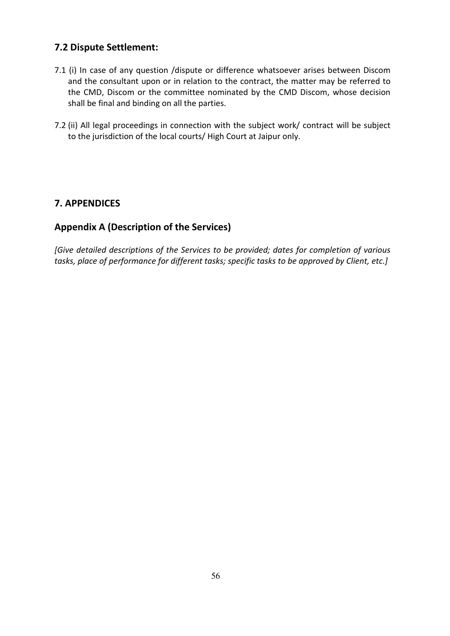# 7.2 Dispute Settlement:

- 7.1 (i) In case of any question /dispute or difference whatsoever arises between Discom and the consultant upon or in relation to the contract, the matter may be referred to the CMD, Discom or the committee nominated by the CMD Discom, whose decision shall be final and binding on all the parties.
- 7.2 (ii) All legal proceedings in connection with the subject work/ contract will be subject to the jurisdiction of the local courts/ High Court at Jaipur only.

# 7. APPENDICES

# Appendix A (Description of the Services)

[Give detailed descriptions of the Services to be provided; dates for completion of various tasks, place of performance for different tasks; specific tasks to be approved by Client, etc.]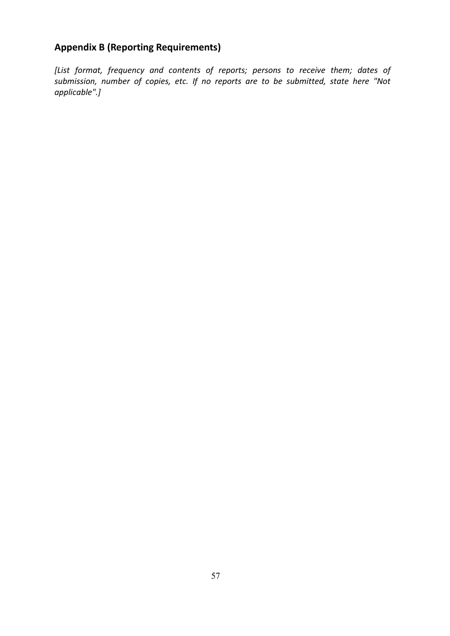# Appendix B (Reporting Requirements)

[List format, frequency and contents of reports; persons to receive them; dates of submission, number of copies, etc. If no reports are to be submitted, state here "Not applicable".]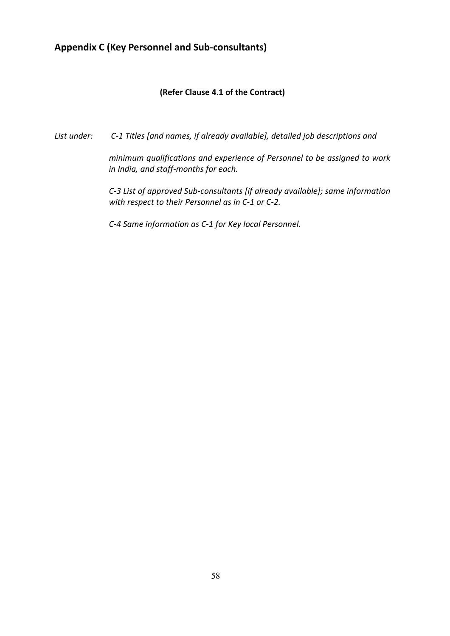# Appendix C (Key Personnel and Sub-consultants)

### (Refer Clause 4.1 of the Contract)

List under: C-1 Titles [and names, if already available], detailed job descriptions and

minimum qualifications and experience of Personnel to be assigned to work in India, and staff-months for each.

C-3 List of approved Sub-consultants [if already available]; same information with respect to their Personnel as in C-1 or C-2.

C-4 Same information as C-1 for Key local Personnel.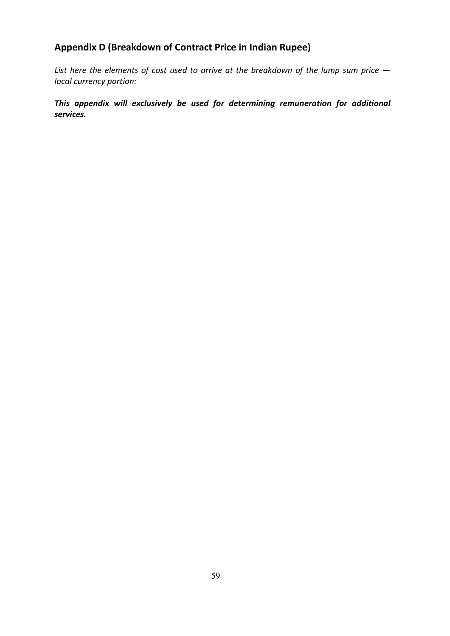# Appendix D (Breakdown of Contract Price in Indian Rupee)

List here the elements of cost used to arrive at the breakdown of the lump sum price  $$ local currency portion:

This appendix will exclusively be used for determining remuneration for additional services.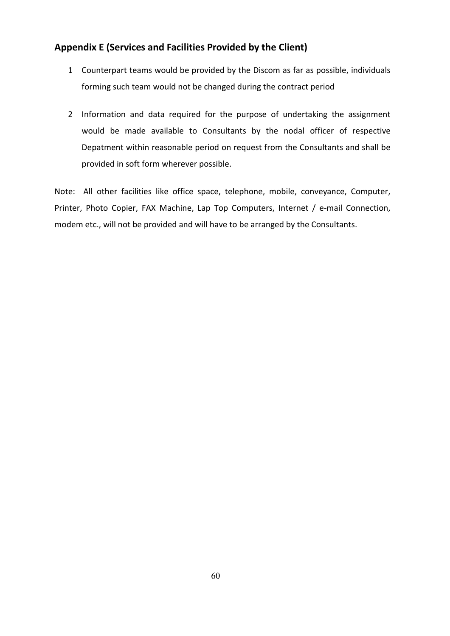# Appendix E (Services and Facilities Provided by the Client)

- 1 Counterpart teams would be provided by the Discom as far as possible, individuals forming such team would not be changed during the contract period
- 2 Information and data required for the purpose of undertaking the assignment would be made available to Consultants by the nodal officer of respective Depatment within reasonable period on request from the Consultants and shall be provided in soft form wherever possible.

Note: All other facilities like office space, telephone, mobile, conveyance, Computer, Printer, Photo Copier, FAX Machine, Lap Top Computers, Internet / e-mail Connection, modem etc., will not be provided and will have to be arranged by the Consultants.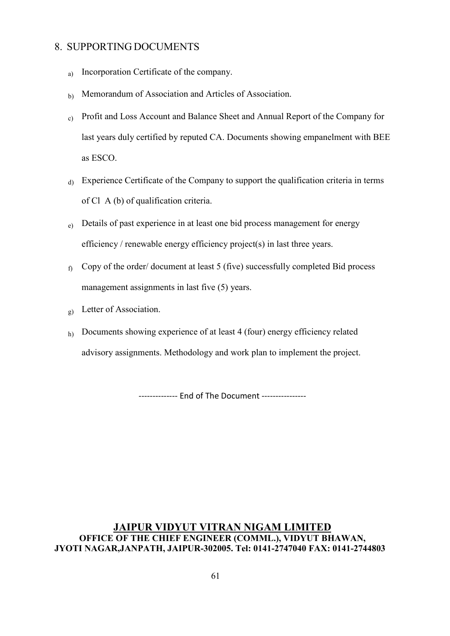# 8. SUPPORTING DOCUMENTS

- a) Incorporation Certificate of the company.
- b) Memorandum of Association and Articles of Association.
- c) Profit and Loss Account and Balance Sheet and Annual Report of the Company for last years duly certified by reputed CA. Documents showing empanelment with BEE as ESCO.
- d) Experience Certificate of the Company to support the qualification criteria in terms of Cl A (b) of qualification criteria.
- e) Details of past experience in at least one bid process management for energy efficiency / renewable energy efficiency project(s) in last three years.
- $f<sub>1</sub>$  Copy of the order/ document at least 5 (five) successfully completed Bid process management assignments in last five (5) years.
- g) Letter of Association.
- h) Documents showing experience of at least 4 (four) energy efficiency related advisory assignments. Methodology and work plan to implement the project.

-------------- End of The Document ----------------

# JAIPUR VIDYUT VITRAN NIGAM LIMITED OFFICE OF THE CHIEF ENGINEER (COMML.), VIDYUT BHAWAN, JYOTI NAGAR,JANPATH, JAIPUR-302005. Tel: 0141-2747040 FAX: 0141-2744803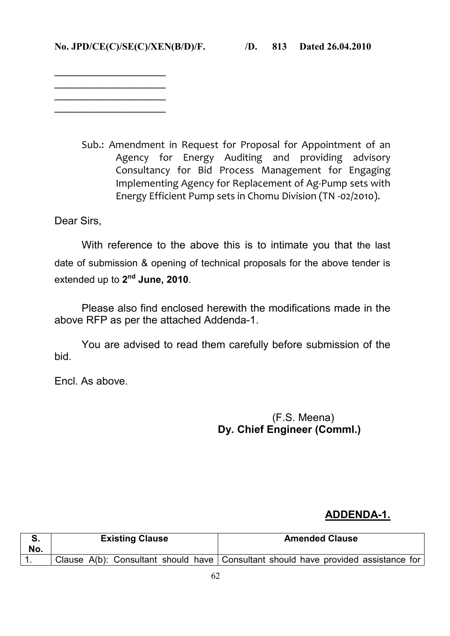No. JPD/CE(C)/SE(C)/XEN(B/D)/F. /D. 813 Dated 26.04.2010

\_\_\_\_\_\_\_\_\_\_\_\_\_\_\_\_\_\_\_\_\_ \_\_\_\_\_\_\_\_\_\_\_\_\_\_\_\_\_\_\_\_\_ \_\_\_\_\_\_\_\_\_\_\_\_\_\_\_\_\_\_\_\_\_ \_\_\_\_\_\_\_\_\_\_\_\_\_\_\_\_\_\_\_\_\_

Sub.: Amendment in Request for Proposal for Appointment of an Agency for Energy Auditing and providing advisory Consultancy for Bid Process Management for Engaging Implementing Agency for Replacement of Ag-Pump sets with Energy Efficient Pump sets in Chomu Division (TN -02/2010).

Dear Sirs,

 With reference to the above this is to intimate you that the last date of submission & opening of technical proposals for the above tender is extended up to 2<sup>nd</sup> June, 2010.

Please also find enclosed herewith the modifications made in the above RFP as per the attached Addenda-1.

You are advised to read them carefully before submission of the bid.

Encl. As above.

(F.S. Meena) Dy. Chief Engineer (Comml.)

# ADDENDA-1.

| v.<br>No. | <b>Existing Clause</b> | <b>Amended Clause</b>                                                              |
|-----------|------------------------|------------------------------------------------------------------------------------|
|           |                        | Clause A(b): Consultant should have Consultant should have provided assistance for |